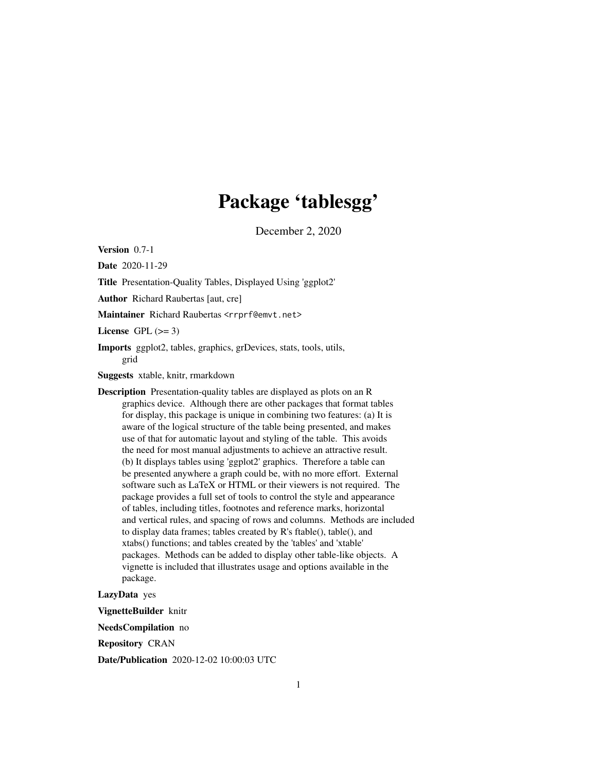## Package 'tablesgg'

December 2, 2020

Version 0.7-1

Date 2020-11-29

Title Presentation-Quality Tables, Displayed Using 'ggplot2'

Author Richard Raubertas [aut, cre]

Maintainer Richard Raubertas <rrprf@emvt.net>

License GPL  $(>= 3)$ 

Imports ggplot2, tables, graphics, grDevices, stats, tools, utils, grid

Suggests xtable, knitr, rmarkdown

Description Presentation-quality tables are displayed as plots on an R graphics device. Although there are other packages that format tables for display, this package is unique in combining two features: (a) It is aware of the logical structure of the table being presented, and makes use of that for automatic layout and styling of the table. This avoids the need for most manual adjustments to achieve an attractive result. (b) It displays tables using 'ggplot2' graphics. Therefore a table can be presented anywhere a graph could be, with no more effort. External software such as LaTeX or HTML or their viewers is not required. The package provides a full set of tools to control the style and appearance of tables, including titles, footnotes and reference marks, horizontal and vertical rules, and spacing of rows and columns. Methods are included to display data frames; tables created by R's ftable(), table(), and xtabs() functions; and tables created by the 'tables' and 'xtable' packages. Methods can be added to display other table-like objects. A vignette is included that illustrates usage and options available in the package.

LazyData yes

VignetteBuilder knitr

NeedsCompilation no

Repository CRAN

Date/Publication 2020-12-02 10:00:03 UTC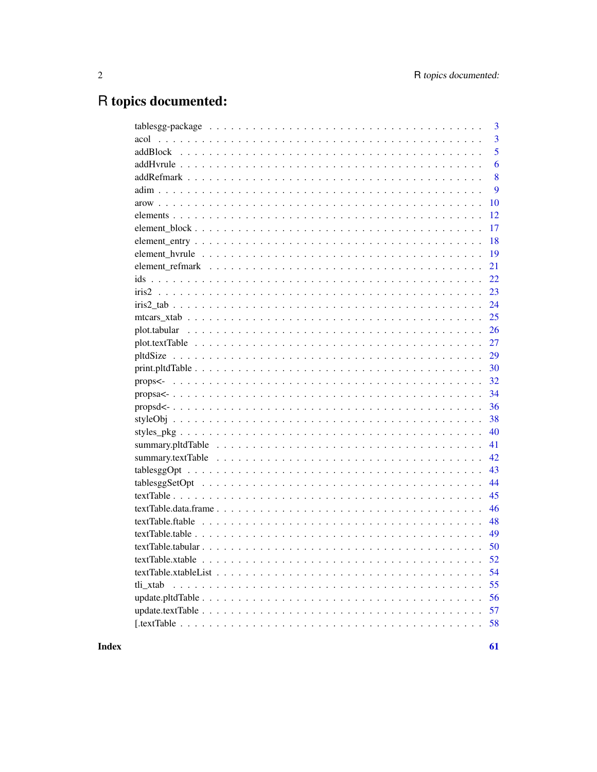# R topics documented:

| 3              |
|----------------|
| 3              |
| 5              |
| 6              |
| 8              |
| 9              |
| 10             |
| 12             |
| 17             |
| 18             |
| 19             |
| 21             |
| 22             |
| 23             |
| 24             |
| 25             |
| 26             |
| 27             |
| 29             |
| 30             |
| 32             |
| 34             |
| 36             |
| 38             |
| 40             |
| 41             |
| 42             |
| 43             |
| 44             |
| 45             |
| 46             |
| 48             |
| 49             |
|                |
|                |
| 54             |
| 55<br>tli_xtab |
| 56             |
| 57             |
| 58             |

**Index**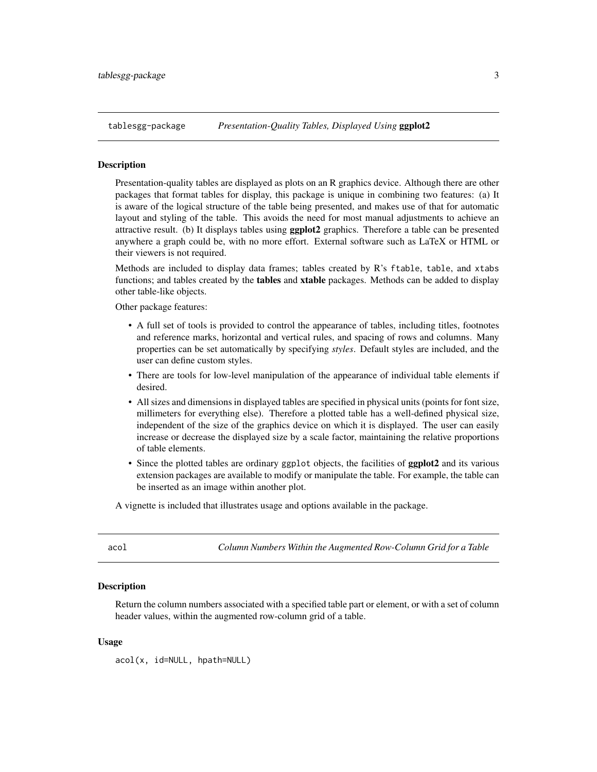<span id="page-2-0"></span>

#### **Description**

Presentation-quality tables are displayed as plots on an R graphics device. Although there are other packages that format tables for display, this package is unique in combining two features: (a) It is aware of the logical structure of the table being presented, and makes use of that for automatic layout and styling of the table. This avoids the need for most manual adjustments to achieve an attractive result. (b) It displays tables using **ggplot2** graphics. Therefore a table can be presented anywhere a graph could be, with no more effort. External software such as LaTeX or HTML or their viewers is not required.

Methods are included to display data frames; tables created by R's ftable, table, and xtabs functions; and tables created by the **tables** and **xtable** packages. Methods can be added to display other table-like objects.

Other package features:

- A full set of tools is provided to control the appearance of tables, including titles, footnotes and reference marks, horizontal and vertical rules, and spacing of rows and columns. Many properties can be set automatically by specifying *styles*. Default styles are included, and the user can define custom styles.
- There are tools for low-level manipulation of the appearance of individual table elements if desired.
- All sizes and dimensions in displayed tables are specified in physical units (points for font size, millimeters for everything else). Therefore a plotted table has a well-defined physical size, independent of the size of the graphics device on which it is displayed. The user can easily increase or decrease the displayed size by a scale factor, maintaining the relative proportions of table elements.
- Since the plotted tables are ordinary ggplot objects, the facilities of **ggplot2** and its various extension packages are available to modify or manipulate the table. For example, the table can be inserted as an image within another plot.

A vignette is included that illustrates usage and options available in the package.

<span id="page-2-1"></span>acol *Column Numbers Within the Augmented Row-Column Grid for a Table*

#### **Description**

Return the column numbers associated with a specified table part or element, or with a set of column header values, within the augmented row-column grid of a table.

#### Usage

acol(x, id=NULL, hpath=NULL)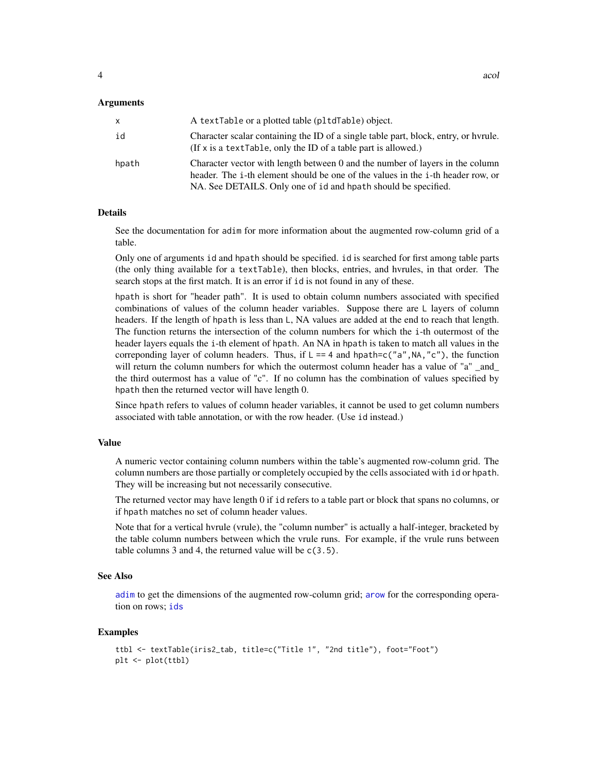#### <span id="page-3-0"></span>Arguments

| X     | A textTable or a plotted table (pltdTable) object.                                                                                                                                                                                 |
|-------|------------------------------------------------------------------------------------------------------------------------------------------------------------------------------------------------------------------------------------|
| id    | Character scalar containing the ID of a single table part, block, entry, or hyrule.<br>(If x is a text able, only the ID of a table part is allowed.)                                                                              |
| hpath | Character vector with length between 0 and the number of layers in the column<br>header. The i-th element should be one of the values in the i-th header row, or<br>NA. See DETAILS. Only one of id and hpath should be specified. |

#### Details

See the documentation for adim for more information about the augmented row-column grid of a table.

Only one of arguments id and hpath should be specified. id is searched for first among table parts (the only thing available for a textTable), then blocks, entries, and hvrules, in that order. The search stops at the first match. It is an error if id is not found in any of these.

hpath is short for "header path". It is used to obtain column numbers associated with specified combinations of values of the column header variables. Suppose there are L layers of column headers. If the length of hpath is less than L, NA values are added at the end to reach that length. The function returns the intersection of the column numbers for which the i-th outermost of the header layers equals the i-th element of hpath. An NA in hpath is taken to match all values in the correponding layer of column headers. Thus, if  $L = 4$  and hpath=c("a",NA,"c"), the function will return the column numbers for which the outermost column header has a value of "a" and the third outermost has a value of "c". If no column has the combination of values specified by hpath then the returned vector will have length 0.

Since hpath refers to values of column header variables, it cannot be used to get column numbers associated with table annotation, or with the row header. (Use id instead.)

#### Value

A numeric vector containing column numbers within the table's augmented row-column grid. The column numbers are those partially or completely occupied by the cells associated with id or hpath. They will be increasing but not necessarily consecutive.

The returned vector may have length 0 if id refers to a table part or block that spans no columns, or if hpath matches no set of column header values.

Note that for a vertical hvrule (vrule), the "column number" is actually a half-integer, bracketed by the table column numbers between which the vrule runs. For example, if the vrule runs between table columns  $3$  and  $4$ , the returned value will be  $c(3.5)$ .

#### See Also

[adim](#page-8-1) to get the dimensions of the augmented row-column grid; [arow](#page-9-1) for the corresponding operation on rows; [ids](#page-21-1)

```
ttbl <- textTable(iris2_tab, title=c("Title 1", "2nd title"), foot="Foot")
plt <- plot(ttbl)
```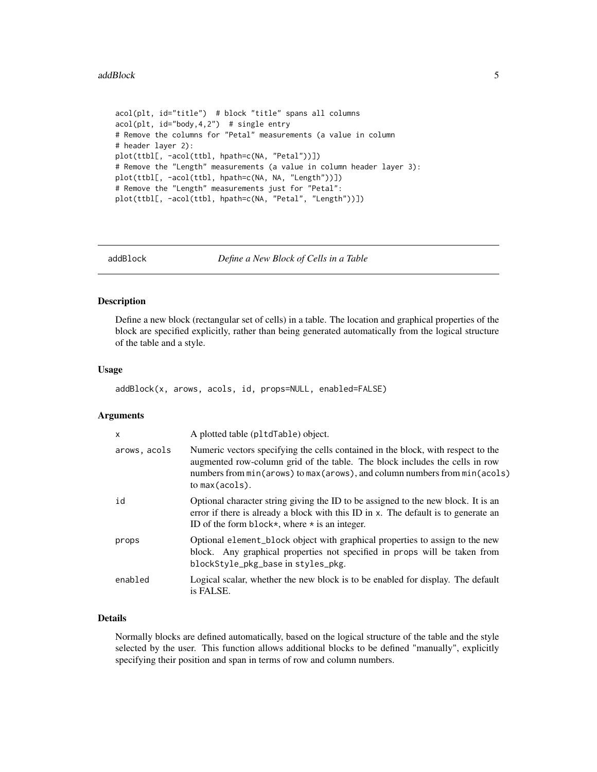#### <span id="page-4-0"></span>addBlock 5

```
acol(plt, id="title") # block "title" spans all columns
acol(plt, id="body,4,2") # single entry
# Remove the columns for "Petal" measurements (a value in column
# header layer 2):
plot(ttbl[, -acol(ttbl, hpath=c(NA, "Petal"))])
# Remove the "Length" measurements (a value in column header layer 3):
plot(ttbl[, -acol(ttbl, hpath=c(NA, NA, "Length"))])
# Remove the "Length" measurements just for "Petal":
plot(ttbl[, -acol(ttbl, hpath=c(NA, "Petal", "Length"))])
```
addBlock *Define a New Block of Cells in a Table*

#### Description

Define a new block (rectangular set of cells) in a table. The location and graphical properties of the block are specified explicitly, rather than being generated automatically from the logical structure of the table and a style.

#### Usage

addBlock(x, arows, acols, id, props=NULL, enabled=FALSE)

#### Arguments

| $\boldsymbol{\mathsf{x}}$ | A plotted table (pltdTable) object.                                                                                                                                                                                                                                |
|---------------------------|--------------------------------------------------------------------------------------------------------------------------------------------------------------------------------------------------------------------------------------------------------------------|
| arows, acols              | Numeric vectors specifying the cells contained in the block, with respect to the<br>augmented row-column grid of the table. The block includes the cells in row<br>numbers from min(arows) to max (arows), and column numbers from min(acols)<br>to $max(acols)$ . |
| id                        | Optional character string giving the ID to be assigned to the new block. It is an<br>error if there is already a block with this ID in x. The default is to generate an<br>ID of the form block*, where $\star$ is an integer.                                     |
| props                     | Optional element_block object with graphical properties to assign to the new<br>block. Any graphical properties not specified in props will be taken from<br>blockStyle_pkg_base in styles_pkg.                                                                    |
| enabled                   | Logical scalar, whether the new block is to be enabled for display. The default<br>is FALSE.                                                                                                                                                                       |

#### Details

Normally blocks are defined automatically, based on the logical structure of the table and the style selected by the user. This function allows additional blocks to be defined "manually", explicitly specifying their position and span in terms of row and column numbers.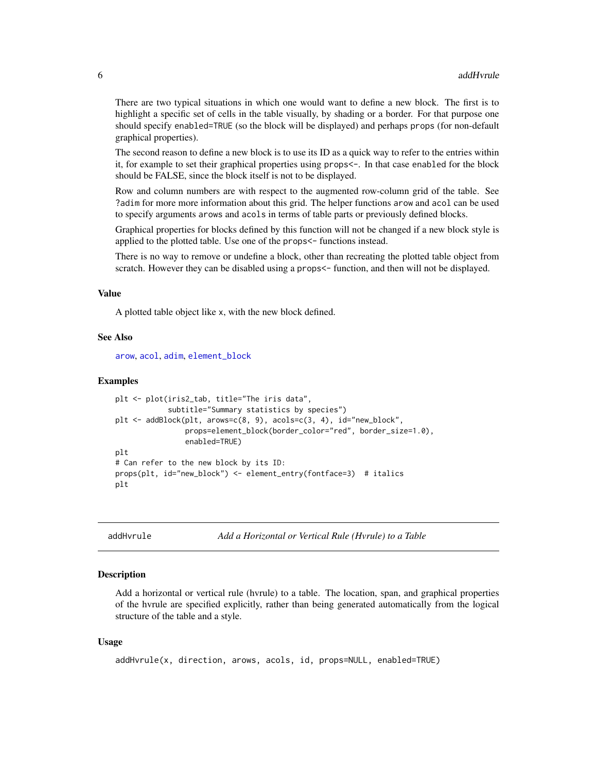<span id="page-5-0"></span>There are two typical situations in which one would want to define a new block. The first is to highlight a specific set of cells in the table visually, by shading or a border. For that purpose one should specify enabled=TRUE (so the block will be displayed) and perhaps props (for non-default graphical properties).

The second reason to define a new block is to use its ID as a quick way to refer to the entries within it, for example to set their graphical properties using props<-. In that case enabled for the block should be FALSE, since the block itself is not to be displayed.

Row and column numbers are with respect to the augmented row-column grid of the table. See ?adim for more more information about this grid. The helper functions arow and acol can be used to specify arguments arows and acols in terms of table parts or previously defined blocks.

Graphical properties for blocks defined by this function will not be changed if a new block style is applied to the plotted table. Use one of the props<- functions instead.

There is no way to remove or undefine a block, other than recreating the plotted table object from scratch. However they can be disabled using a props <- function, and then will not be displayed.

#### Value

A plotted table object like x, with the new block defined.

#### See Also

[arow](#page-9-1), [acol](#page-2-1), [adim](#page-8-1), [element\\_block](#page-16-1)

#### Examples

```
plt <- plot(iris2_tab, title="The iris data",
            subtitle="Summary statistics by species")
plt <- addBlock(plt, arows=c(8, 9), acols=c(3, 4), id="new_block",
                props=element_block(border_color="red", border_size=1.0),
                enabled=TRUE)
plt
# Can refer to the new block by its ID:
props(plt, id="new_block") <- element_entry(fontface=3) # italics
plt
```
addHvrule *Add a Horizontal or Vertical Rule (Hvrule) to a Table*

#### Description

Add a horizontal or vertical rule (hvrule) to a table. The location, span, and graphical properties of the hvrule are specified explicitly, rather than being generated automatically from the logical structure of the table and a style.

#### Usage

```
addHvrule(x, direction, arows, acols, id, props=NULL, enabled=TRUE)
```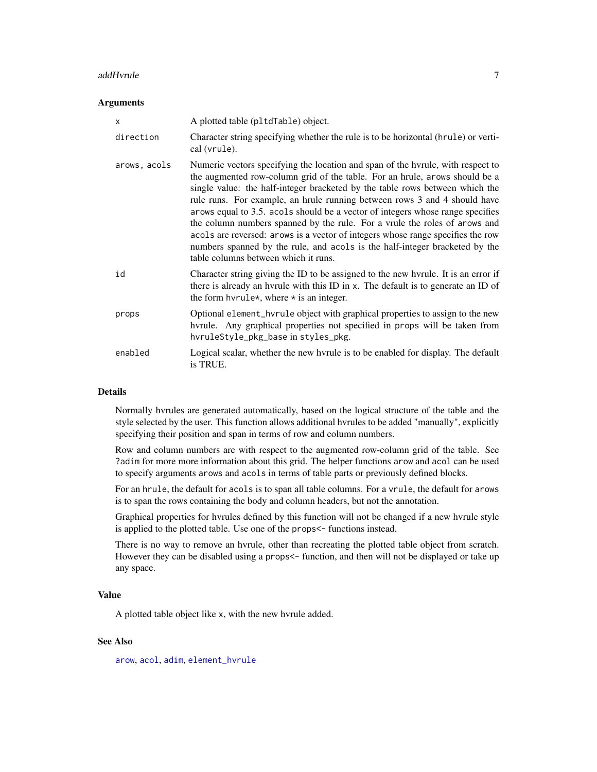#### <span id="page-6-0"></span>addHvrule 7

#### **Arguments**

| X            | A plotted table (pltdTable) object.                                                                                                                                                                                                                                                                                                                                                                                                                                                                                                                                                                                                                                                                   |
|--------------|-------------------------------------------------------------------------------------------------------------------------------------------------------------------------------------------------------------------------------------------------------------------------------------------------------------------------------------------------------------------------------------------------------------------------------------------------------------------------------------------------------------------------------------------------------------------------------------------------------------------------------------------------------------------------------------------------------|
| direction    | Character string specifying whether the rule is to be horizontal (hrule) or verti-<br>cal (vrule).                                                                                                                                                                                                                                                                                                                                                                                                                                                                                                                                                                                                    |
| arows, acols | Numeric vectors specifying the location and span of the hyrule, with respect to<br>the augmented row-column grid of the table. For an hrule, arows should be a<br>single value: the half-integer bracketed by the table rows between which the<br>rule runs. For example, an hrule running between rows 3 and 4 should have<br>arows equal to 3.5. acols should be a vector of integers whose range specifies<br>the column numbers spanned by the rule. For a vrule the roles of arows and<br>acols are reversed: arows is a vector of integers whose range specifies the row<br>numbers spanned by the rule, and acols is the half-integer bracketed by the<br>table columns between which it runs. |
| id           | Character string giving the ID to be assigned to the new hyrule. It is an error if<br>there is already an hyrule with this ID in x. The default is to generate an ID of<br>the form hyrule*, where $*$ is an integer.                                                                                                                                                                                                                                                                                                                                                                                                                                                                                 |
| props        | Optional element_hvrule object with graphical properties to assign to the new<br>hvrule. Any graphical properties not specified in props will be taken from<br>hvruleStyle_pkg_base in styles_pkg.                                                                                                                                                                                                                                                                                                                                                                                                                                                                                                    |
| enabled      | Logical scalar, whether the new hvrule is to be enabled for display. The default<br>is TRUE.                                                                                                                                                                                                                                                                                                                                                                                                                                                                                                                                                                                                          |

#### Details

Normally hvrules are generated automatically, based on the logical structure of the table and the style selected by the user. This function allows additional hvrules to be added "manually", explicitly specifying their position and span in terms of row and column numbers.

Row and column numbers are with respect to the augmented row-column grid of the table. See ?adim for more more information about this grid. The helper functions arow and acol can be used to specify arguments arows and acols in terms of table parts or previously defined blocks.

For an hrule, the default for acols is to span all table columns. For a vrule, the default for arows is to span the rows containing the body and column headers, but not the annotation.

Graphical properties for hvrules defined by this function will not be changed if a new hvrule style is applied to the plotted table. Use one of the props<- functions instead.

There is no way to remove an hvrule, other than recreating the plotted table object from scratch. However they can be disabled using a props<- function, and then will not be displayed or take up any space.

#### Value

A plotted table object like x, with the new hvrule added.

#### See Also

[arow](#page-9-1), [acol](#page-2-1), [adim](#page-8-1), [element\\_hvrule](#page-18-1)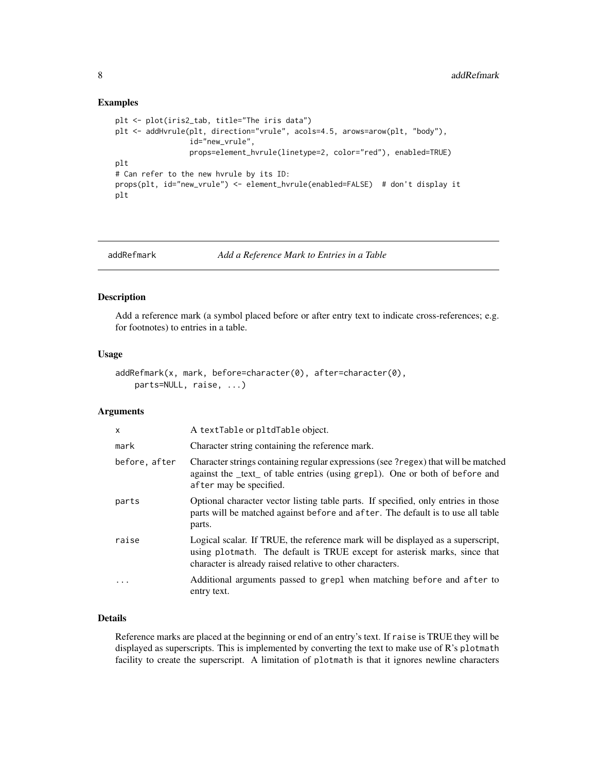#### Examples

```
plt <- plot(iris2_tab, title="The iris data")
plt <- addHvrule(plt, direction="vrule", acols=4.5, arows=arow(plt, "body"),
                 id="new_vrule",
                 props=element_hvrule(linetype=2, color="red"), enabled=TRUE)
plt
# Can refer to the new hvrule by its ID:
props(plt, id="new_vrule") <- element_hvrule(enabled=FALSE) # don't display it
plt
```
<span id="page-7-1"></span>

```
addRefmark Add a Reference Mark to Entries in a Table
```
#### Description

Add a reference mark (a symbol placed before or after entry text to indicate cross-references; e.g. for footnotes) to entries in a table.

#### Usage

```
addRefmark(x, mark, before=character(0), after=character(0),
   parts=NULL, raise, ...)
```
#### Arguments

| $\mathsf{x}$  | A textTable or pltdTable object.                                                                                                                                                                                          |
|---------------|---------------------------------------------------------------------------------------------------------------------------------------------------------------------------------------------------------------------------|
| mark          | Character string containing the reference mark.                                                                                                                                                                           |
| before, after | Character strings containing regular expressions (see ?regex) that will be matched<br>against the <u>text</u> of table entries (using grep1). One or both of before and<br>after may be specified.                        |
| parts         | Optional character vector listing table parts. If specified, only entries in those<br>parts will be matched against before and after. The default is to use all table<br>parts.                                           |
| raise         | Logical scalar. If TRUE, the reference mark will be displayed as a superscript,<br>using plotmath. The default is TRUE except for asterisk marks, since that<br>character is already raised relative to other characters. |
|               | Additional arguments passed to grep1 when matching before and after to<br>entry text.                                                                                                                                     |

#### Details

Reference marks are placed at the beginning or end of an entry's text. If raise is TRUE they will be displayed as superscripts. This is implemented by converting the text to make use of R's plotmath facility to create the superscript. A limitation of plotmath is that it ignores newline characters

<span id="page-7-0"></span>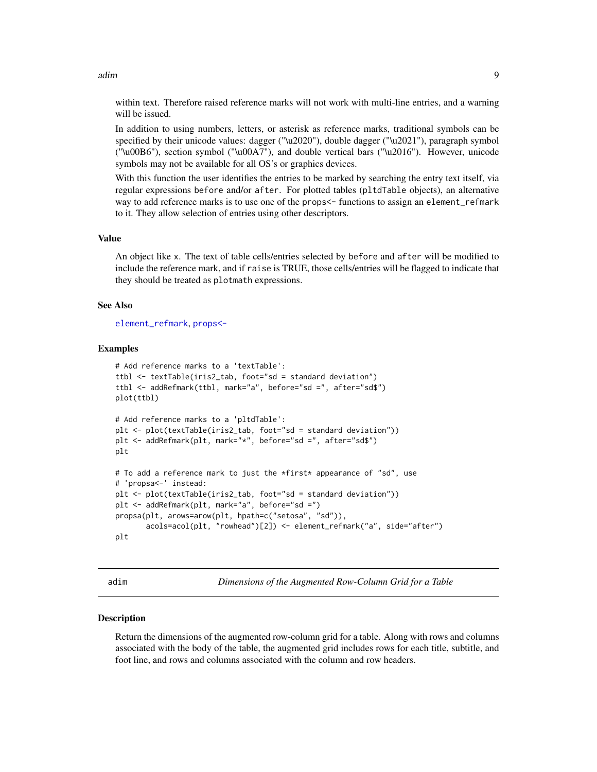<span id="page-8-0"></span>adim **9** adim to the contract of the contract of the contract of the contract of the contract of the contract of the contract of the contract of the contract of the contract of the contract of the contract of the contract

within text. Therefore raised reference marks will not work with multi-line entries, and a warning will be issued.

In addition to using numbers, letters, or asterisk as reference marks, traditional symbols can be specified by their unicode values: dagger ("\u2020"), double dagger ("\u2021"), paragraph symbol ("\u00B6"), section symbol ("\u00A7"), and double vertical bars ("\u2016"). However, unicode symbols may not be available for all OS's or graphics devices.

With this function the user identifies the entries to be marked by searching the entry text itself, via regular expressions before and/or after. For plotted tables (pltdTable objects), an alternative way to add reference marks is to use one of the props <- functions to assign an element\_refmark to it. They allow selection of entries using other descriptors.

#### Value

An object like x. The text of table cells/entries selected by before and after will be modified to include the reference mark, and if raise is TRUE, those cells/entries will be flagged to indicate that they should be treated as plotmath expressions.

#### See Also

[element\\_refmark](#page-20-1), [props<-](#page-31-1)

#### Examples

```
# Add reference marks to a 'textTable':
ttbl <- textTable(iris2_tab, foot="sd = standard deviation")
ttbl <- addRefmark(ttbl, mark="a", before="sd =", after="sd$")
plot(ttbl)
# Add reference marks to a 'pltdTable':
plt <- plot(textTable(iris2_tab, foot="sd = standard deviation"))
plt <- addRefmark(plt, mark="*", before="sd =", after="sd$")
plt
# To add a reference mark to just the *first* appearance of "sd", use
# 'propsa<-' instead:
plt <- plot(textTable(iris2_tab, foot="sd = standard deviation"))
plt <- addRefmark(plt, mark="a", before="sd =")
propsa(plt, arows=arow(plt, hpath=c("setosa", "sd")),
       acols=acol(plt, "rowhead")[2]) <- element_refmark("a", side="after")
plt
```
<span id="page-8-1"></span>adim *Dimensions of the Augmented Row-Column Grid for a Table*

#### **Description**

Return the dimensions of the augmented row-column grid for a table. Along with rows and columns associated with the body of the table, the augmented grid includes rows for each title, subtitle, and foot line, and rows and columns associated with the column and row headers.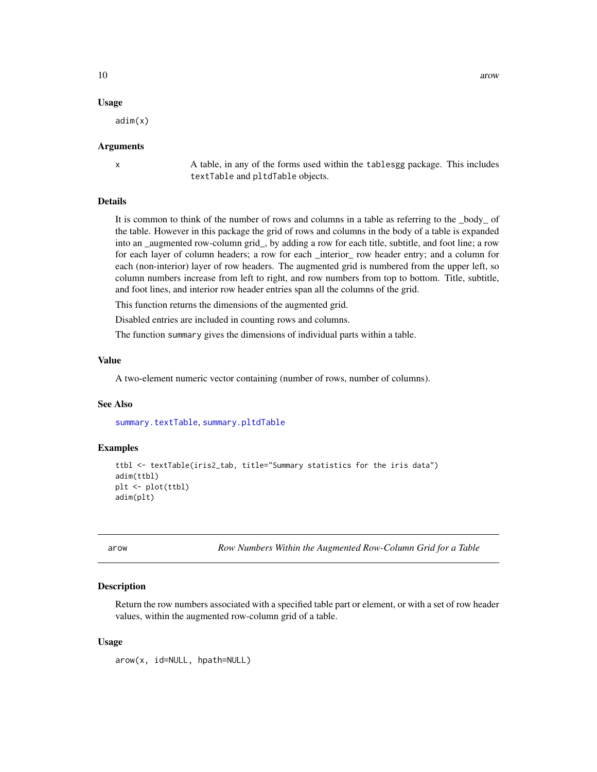#### <span id="page-9-0"></span>Usage

adim(x)

#### Arguments

x A table, in any of the forms used within the tablesgg package. This includes textTable and pltdTable objects.

#### Details

It is common to think of the number of rows and columns in a table as referring to the \_body\_ of the table. However in this package the grid of rows and columns in the body of a table is expanded into an \_augmented row-column grid\_, by adding a row for each title, subtitle, and foot line; a row for each layer of column headers; a row for each \_interior\_ row header entry; and a column for each (non-interior) layer of row headers. The augmented grid is numbered from the upper left, so column numbers increase from left to right, and row numbers from top to bottom. Title, subtitle, and foot lines, and interior row header entries span all the columns of the grid.

This function returns the dimensions of the augmented grid.

Disabled entries are included in counting rows and columns.

The function summary gives the dimensions of individual parts within a table.

#### Value

A two-element numeric vector containing (number of rows, number of columns).

#### See Also

[summary.textTable](#page-41-1), [summary.pltdTable](#page-40-1)

#### Examples

```
ttbl <- textTable(iris2_tab, title="Summary statistics for the iris data")
adim(ttbl)
plt <- plot(ttbl)
adim(plt)
```
<span id="page-9-1"></span>arow *Row Numbers Within the Augmented Row-Column Grid for a Table*

#### Description

Return the row numbers associated with a specified table part or element, or with a set of row header values, within the augmented row-column grid of a table.

#### Usage

arow(x, id=NULL, hpath=NULL)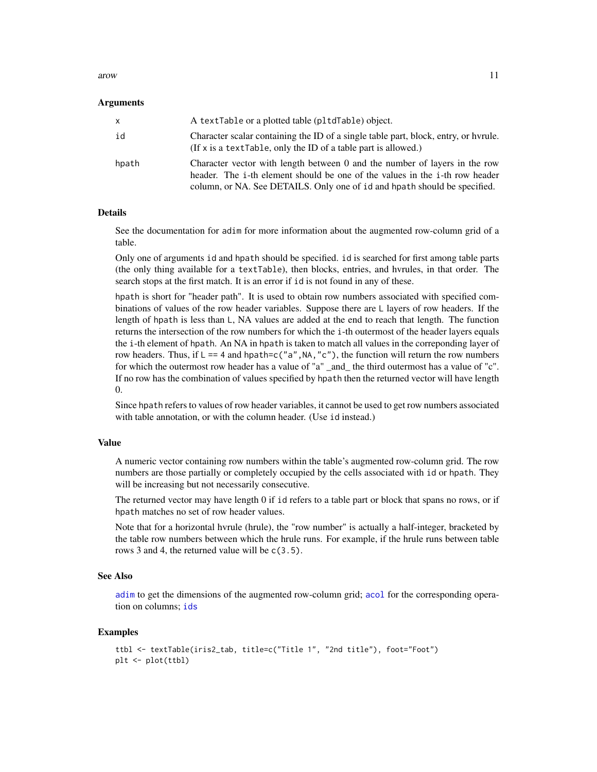#### <span id="page-10-0"></span>arow 11

#### Arguments

| $\mathsf{x}$ | A textTable or a plotted table (pltdTable) object.                                                                                                                                                                                     |
|--------------|----------------------------------------------------------------------------------------------------------------------------------------------------------------------------------------------------------------------------------------|
| id           | Character scalar containing the ID of a single table part, block, entry, or hyrule.<br>(If $x$ is a text Table, only the ID of a table part is allowed.)                                                                               |
| hpath        | Character vector with length between 0 and the number of layers in the row<br>header. The i-th element should be one of the values in the i-th row header<br>column, or NA. See DETAILS. Only one of id and hpath should be specified. |

#### Details

See the documentation for adim for more information about the augmented row-column grid of a table.

Only one of arguments id and hpath should be specified. id is searched for first among table parts (the only thing available for a textTable), then blocks, entries, and hvrules, in that order. The search stops at the first match. It is an error if id is not found in any of these.

hpath is short for "header path". It is used to obtain row numbers associated with specified combinations of values of the row header variables. Suppose there are L layers of row headers. If the length of hpath is less than L, NA values are added at the end to reach that length. The function returns the intersection of the row numbers for which the i-th outermost of the header layers equals the i-th element of hpath. An NA in hpath is taken to match all values in the correponding layer of row headers. Thus, if  $L = 4$  and hpath=c("a", NA, "c"), the function will return the row numbers for which the outermost row header has a value of "a" \_and\_ the third outermost has a value of "c". If no row has the combination of values specified by hpath then the returned vector will have length 0.

Since hpath refers to values of row header variables, it cannot be used to get row numbers associated with table annotation, or with the column header. (Use id instead.)

#### Value

A numeric vector containing row numbers within the table's augmented row-column grid. The row numbers are those partially or completely occupied by the cells associated with id or hpath. They will be increasing but not necessarily consecutive.

The returned vector may have length 0 if id refers to a table part or block that spans no rows, or if hpath matches no set of row header values.

Note that for a horizontal hvrule (hrule), the "row number" is actually a half-integer, bracketed by the table row numbers between which the hrule runs. For example, if the hrule runs between table rows 3 and 4, the returned value will be c(3.5).

#### See Also

[adim](#page-8-1) to get the dimensions of the augmented row-column grid; [acol](#page-2-1) for the corresponding operation on columns; [ids](#page-21-1)

```
ttbl <- textTable(iris2_tab, title=c("Title 1", "2nd title"), foot="Foot")
plt <- plot(ttbl)
```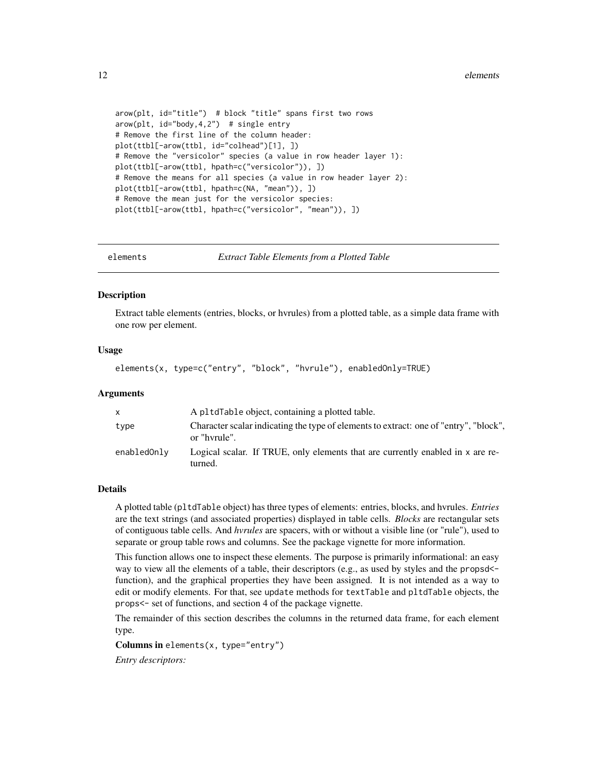```
arow(plt, id="title") # block "title" spans first two rows
arow(plt, id="body,4,2") # single entry
# Remove the first line of the column header:
plot(ttbl[-arow(ttbl, id="colhead")[1], ])
# Remove the "versicolor" species (a value in row header layer 1):
plot(ttbl[-arow(ttbl, hpath=c("versicolor")), ])
# Remove the means for all species (a value in row header layer 2):
plot(ttbl[-arow(ttbl, hpath=c(NA, "mean")), ])
# Remove the mean just for the versicolor species:
plot(ttbl[-arow(ttbl, hpath=c("versicolor", "mean")), ])
```
elements *Extract Table Elements from a Plotted Table*

#### Description

Extract table elements (entries, blocks, or hvrules) from a plotted table, as a simple data frame with one row per element.

#### Usage

elements(x, type=c("entry", "block", "hvrule"), enabledOnly=TRUE)

#### Arguments

| X           | A pltdTable object, containing a plotted table.                                                       |
|-------------|-------------------------------------------------------------------------------------------------------|
| type        | Character scalar indicating the type of elements to extract: one of "entry", "block",<br>or "hyrule". |
| enabledOnly | Logical scalar. If TRUE, only elements that are currently enabled in x are re-<br>turned.             |

#### Details

A plotted table (pltdTable object) has three types of elements: entries, blocks, and hvrules. *Entries* are the text strings (and associated properties) displayed in table cells. *Blocks* are rectangular sets of contiguous table cells. And *hvrules* are spacers, with or without a visible line (or "rule"), used to separate or group table rows and columns. See the package vignette for more information.

This function allows one to inspect these elements. The purpose is primarily informational: an easy way to view all the elements of a table, their descriptors (e.g., as used by styles and the propsd<function), and the graphical properties they have been assigned. It is not intended as a way to edit or modify elements. For that, see update methods for textTable and pltdTable objects, the props<- set of functions, and section 4 of the package vignette.

The remainder of this section describes the columns in the returned data frame, for each element type.

Columns in elements $(x, type='entry")$ 

*Entry descriptors:*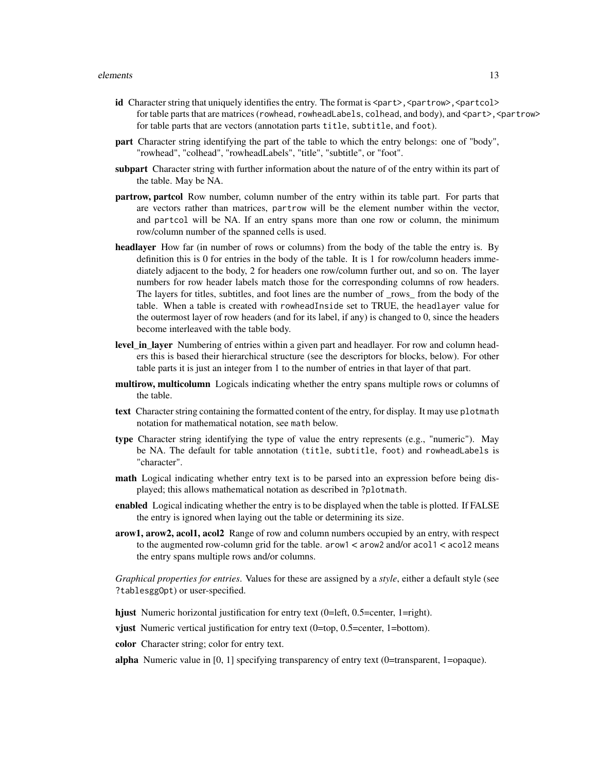#### elements and the set of the set of the set of the set of the set of the set of the set of the set of the set of the set of the set of the set of the set of the set of the set of the set of the set of the set of the set of

- id Character string that uniquely identifies the entry. The format is <part>,<partrow>,<partcol> for table parts that are matrices (rowhead, rowheadLabels, colhead, and body), and <part>, <partrow> for table parts that are vectors (annotation parts title, subtitle, and foot).
- part Character string identifying the part of the table to which the entry belongs: one of "body", "rowhead", "colhead", "rowheadLabels", "title", "subtitle", or "foot".
- subpart Character string with further information about the nature of of the entry within its part of the table. May be NA.
- **partrow, partcol** Row number, column number of the entry within its table part. For parts that are vectors rather than matrices, partrow will be the element number within the vector, and partcol will be NA. If an entry spans more than one row or column, the minimum row/column number of the spanned cells is used.
- headlayer How far (in number of rows or columns) from the body of the table the entry is. By definition this is 0 for entries in the body of the table. It is 1 for row/column headers immediately adjacent to the body, 2 for headers one row/column further out, and so on. The layer numbers for row header labels match those for the corresponding columns of row headers. The layers for titles, subtitles, and foot lines are the number of \_rows\_ from the body of the table. When a table is created with rowheadInside set to TRUE, the headlayer value for the outermost layer of row headers (and for its label, if any) is changed to 0, since the headers become interleaved with the table body.
- level in layer Numbering of entries within a given part and headlayer. For row and column headers this is based their hierarchical structure (see the descriptors for blocks, below). For other table parts it is just an integer from 1 to the number of entries in that layer of that part.
- multirow, multicolumn Logicals indicating whether the entry spans multiple rows or columns of the table.
- text Character string containing the formatted content of the entry, for display. It may use plotmath notation for mathematical notation, see math below.
- type Character string identifying the type of value the entry represents (e.g., "numeric"). May be NA. The default for table annotation (title, subtitle, foot) and rowheadLabels is "character".
- math Logical indicating whether entry text is to be parsed into an expression before being displayed; this allows mathematical notation as described in ?plotmath.
- enabled Logical indicating whether the entry is to be displayed when the table is plotted. If FALSE the entry is ignored when laying out the table or determining its size.
- arow1, arow2, acol1, acol2 Range of row and column numbers occupied by an entry, with respect to the augmented row-column grid for the table. arow1 < arow2 and/or acol1 < acol2 means the entry spans multiple rows and/or columns.

*Graphical properties for entries*. Values for these are assigned by a *style*, either a default style (see ?tablesggOpt) or user-specified.

- hjust Numeric horizontal justification for entry text (0=left, 0.5=center, 1=right).
- vjust Numeric vertical justification for entry text (0=top, 0.5=center, 1=bottom).
- color Character string; color for entry text.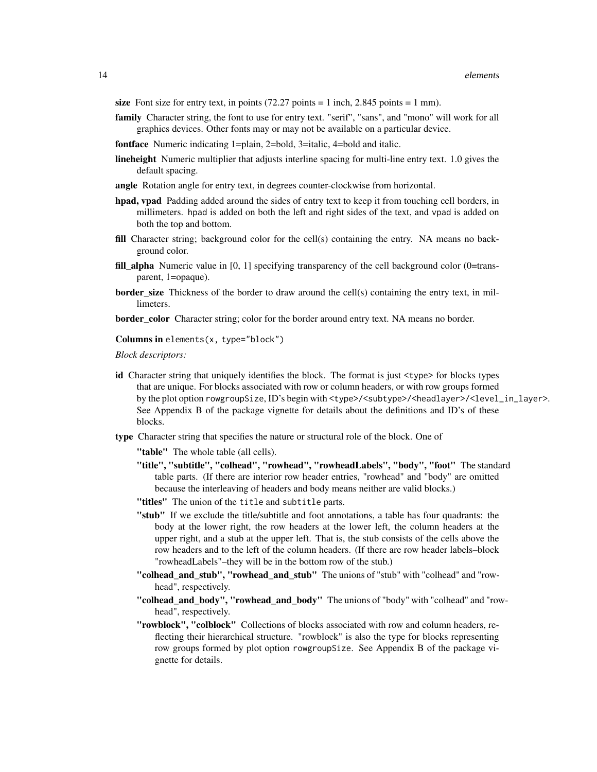size Font size for entry text, in points  $(72.27 \text{ points} = 1 \text{ inch}, 2.845 \text{ points} = 1 \text{ mm})$ .

- family Character string, the font to use for entry text. "serif", "sans", and "mono" will work for all graphics devices. Other fonts may or may not be available on a particular device.
- fontface Numeric indicating 1=plain, 2=bold, 3=italic, 4=bold and italic.
- lineheight Numeric multiplier that adjusts interline spacing for multi-line entry text. 1.0 gives the default spacing.
- angle Rotation angle for entry text, in degrees counter-clockwise from horizontal.
- hpad, vpad Padding added around the sides of entry text to keep it from touching cell borders, in millimeters. hpad is added on both the left and right sides of the text, and vpad is added on both the top and bottom.
- fill Character string; background color for the cell(s) containing the entry. NA means no background color.
- fill\_alpha Numeric value in [0, 1] specifying transparency of the cell background color (0=transparent, 1=opaque).
- **border\_size** Thickness of the border to draw around the cell(s) containing the entry text, in millimeters.

**border\_color** Character string; color for the border around entry text. NA means no border.

Columns in elements $(x, type="block")$ 

*Block descriptors:*

- id Character string that uniquely identifies the block. The format is just  $\langle type \rangle$  for blocks types that are unique. For blocks associated with row or column headers, or with row groups formed by the plot option rowgroupSize, ID's begin with <type>/<subtype>/<headlayer>/<level\_in\_layer>. See Appendix B of the package vignette for details about the definitions and ID's of these blocks.
- type Character string that specifies the nature or structural role of the block. One of

"table" The whole table (all cells).

- "title", "subtitle", "colhead", "rowhead", "rowheadLabels", "body", "foot" The standard table parts. (If there are interior row header entries, "rowhead" and "body" are omitted because the interleaving of headers and body means neither are valid blocks.)
- "titles" The union of the title and subtitle parts.
- "stub" If we exclude the title/subtitle and foot annotations, a table has four quadrants: the body at the lower right, the row headers at the lower left, the column headers at the upper right, and a stub at the upper left. That is, the stub consists of the cells above the row headers and to the left of the column headers. (If there are row header labels–block "rowheadLabels"–they will be in the bottom row of the stub.)
- "colhead\_and\_stub", "rowhead\_and\_stub" The unions of "stub" with "colhead" and "rowhead", respectively.
- "colhead\_and\_body", "rowhead\_and\_body" The unions of "body" with "colhead" and "rowhead", respectively.
- "rowblock", "colblock" Collections of blocks associated with row and column headers, reflecting their hierarchical structure. "rowblock" is also the type for blocks representing row groups formed by plot option rowgroupSize. See Appendix B of the package vignette for details.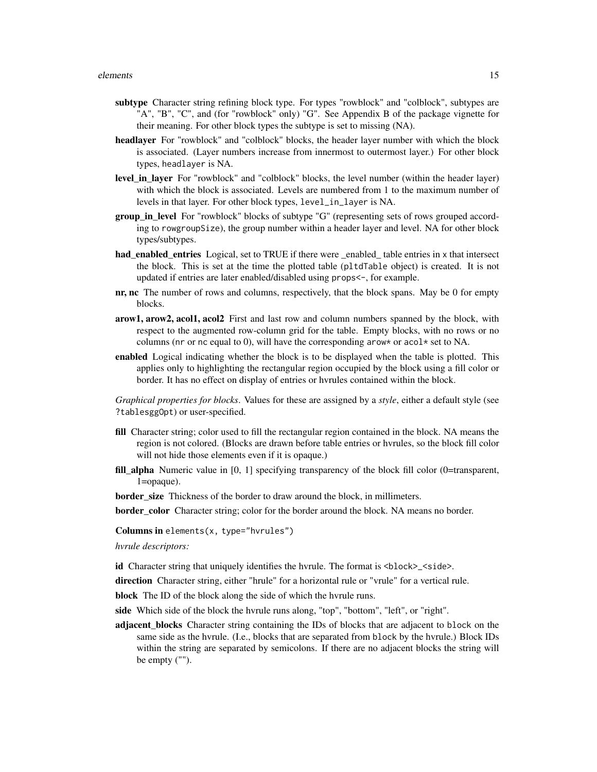- subtype Character string refining block type. For types "rowblock" and "colblock", subtypes are "A", "B", "C", and (for "rowblock" only) "G". See Appendix B of the package vignette for their meaning. For other block types the subtype is set to missing (NA).
- headlayer For "rowblock" and "colblock" blocks, the header layer number with which the block is associated. (Layer numbers increase from innermost to outermost layer.) For other block types, headlayer is NA.
- level in layer For "rowblock" and "colblock" blocks, the level number (within the header layer) with which the block is associated. Levels are numbered from 1 to the maximum number of levels in that layer. For other block types, level\_in\_layer is NA.
- **group in level** For "rowblock" blocks of subtype "G" (representing sets of rows grouped according to rowgroupSize), the group number within a header layer and level. NA for other block types/subtypes.
- had enabled entries Logical, set to TRUE if there were enabled table entries in x that intersect the block. This is set at the time the plotted table (pltdTable object) is created. It is not updated if entries are later enabled/disabled using props<-, for example.
- $\mathbf{n}_r$ ,  $\mathbf{n}_c$  The number of rows and columns, respectively, that the block spans. May be 0 for empty blocks.
- arow1, arow2, acol1, acol2 First and last row and column numbers spanned by the block, with respect to the augmented row-column grid for the table. Empty blocks, with no rows or no columns (nr or nc equal to 0), will have the corresponding arow\* or acol\* set to NA.
- enabled Logical indicating whether the block is to be displayed when the table is plotted. This applies only to highlighting the rectangular region occupied by the block using a fill color or border. It has no effect on display of entries or hvrules contained within the block.

*Graphical properties for blocks*. Values for these are assigned by a *style*, either a default style (see ?tablesggOpt) or user-specified.

- fill Character string; color used to fill the rectangular region contained in the block. NA means the region is not colored. (Blocks are drawn before table entries or hvrules, so the block fill color will not hide those elements even if it is opaque.)
- fill\_alpha Numeric value in [0, 1] specifying transparency of the block fill color (0=transparent, 1=opaque).

**border** size Thickness of the border to draw around the block, in millimeters.

**border** color Character string; color for the border around the block. NA means no border.

Columns in elements(x, type="hvrules")

*hvrule descriptors:*

id Character string that uniquely identifies the hvrule. The format is <br/>block>\_<side>.

direction Character string, either "hrule" for a horizontal rule or "vrule" for a vertical rule.

block The ID of the block along the side of which the hvrule runs.

side Which side of the block the hvrule runs along, "top", "bottom", "left", or "right".

adjacent blocks Character string containing the IDs of blocks that are adjacent to block on the same side as the hvrule. (I.e., blocks that are separated from block by the hvrule.) Block IDs within the string are separated by semicolons. If there are no adjacent blocks the string will be empty ("").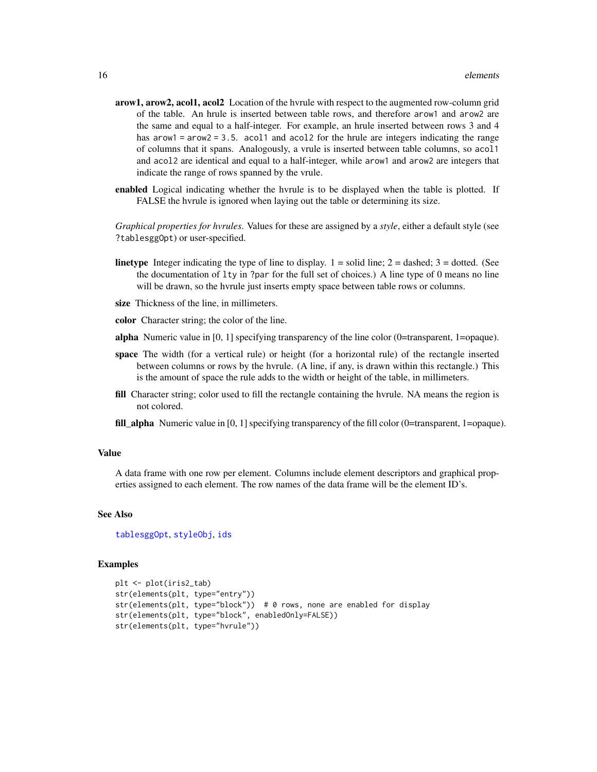- <span id="page-15-0"></span>arow1, arow2, acol1, acol2 Location of the hyrule with respect to the augmented row-column grid of the table. An hrule is inserted between table rows, and therefore arow1 and arow2 are the same and equal to a half-integer. For example, an hrule inserted between rows 3 and 4 has  $arow1 = arow2 = 3.5$ . acol1 and acol2 for the hrule are integers indicating the range of columns that it spans. Analogously, a vrule is inserted between table columns, so acol1 and acol2 are identical and equal to a half-integer, while arow1 and arow2 are integers that indicate the range of rows spanned by the vrule.
- enabled Logical indicating whether the hyrule is to be displayed when the table is plotted. If FALSE the hvrule is ignored when laying out the table or determining its size.

*Graphical properties for hvrules*. Values for these are assigned by a *style*, either a default style (see ?tablesggOpt) or user-specified.

- **linetype** Integer indicating the type of line to display.  $1 =$  solid line;  $2 =$  dashed;  $3 =$  dotted. (See the documentation of lty in ?par for the full set of choices.) A line type of 0 means no line will be drawn, so the hvrule just inserts empty space between table rows or columns.
- size Thickness of the line, in millimeters.
- color Character string; the color of the line.
- alpha Numeric value in [0, 1] specifying transparency of the line color (0=transparent, 1=opaque).
- space The width (for a vertical rule) or height (for a horizontal rule) of the rectangle inserted between columns or rows by the hvrule. (A line, if any, is drawn within this rectangle.) This is the amount of space the rule adds to the width or height of the table, in millimeters.
- fill Character string; color used to fill the rectangle containing the hvrule. NA means the region is not colored.
- fill\_alpha Numeric value in [0, 1] specifying transparency of the fill color (0=transparent, 1=opaque).

#### Value

A data frame with one row per element. Columns include element descriptors and graphical properties assigned to each element. The row names of the data frame will be the element ID's.

#### See Also

[tablesggOpt](#page-42-1), [styleObj](#page-37-1), [ids](#page-21-1)

```
plt <- plot(iris2_tab)
str(elements(plt, type="entry"))
str(elements(plt, type="block")) # 0 rows, none are enabled for display
str(elements(plt, type="block", enabledOnly=FALSE))
str(elements(plt, type="hvrule"))
```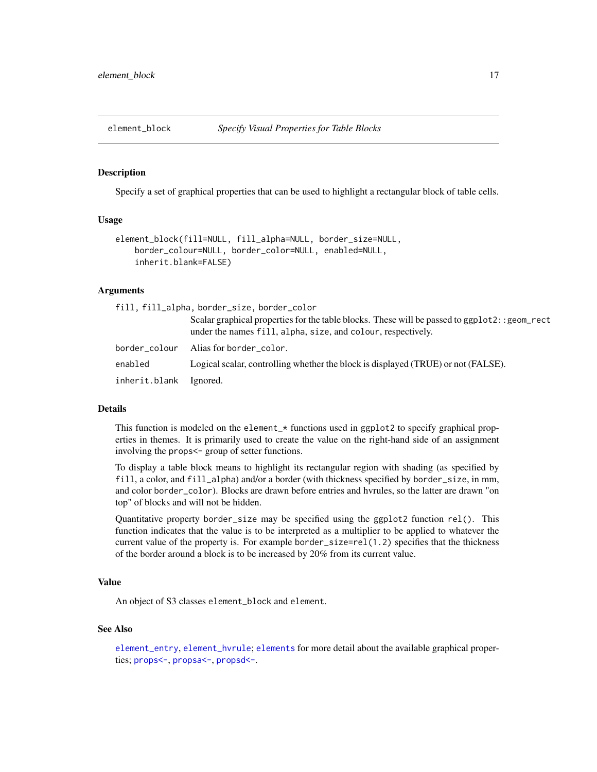<span id="page-16-1"></span><span id="page-16-0"></span>

#### Description

Specify a set of graphical properties that can be used to highlight a rectangular block of table cells.

#### Usage

```
element_block(fill=NULL, fill_alpha=NULL, border_size=NULL,
   border_colour=NULL, border_color=NULL, enabled=NULL,
   inherit.blank=FALSE)
```
#### Arguments

|               | fill, fill_alpha, border_size, border_color                                                                                                                    |
|---------------|----------------------------------------------------------------------------------------------------------------------------------------------------------------|
|               | Scalar graphical properties for the table blocks. These will be passed to ggp1ot2: : geom_rect<br>under the names fill, alpha, size, and colour, respectively. |
| border_colour | Alias for border_color.                                                                                                                                        |
| enabled       | Logical scalar, controlling whether the block is displayed (TRUE) or not (FALSE).                                                                              |
| inherit.blank | Ignored.                                                                                                                                                       |

#### Details

This function is modeled on the element\_\* functions used in ggplot2 to specify graphical properties in themes. It is primarily used to create the value on the right-hand side of an assignment involving the props<- group of setter functions.

To display a table block means to highlight its rectangular region with shading (as specified by fill, a color, and fill\_alpha) and/or a border (with thickness specified by border\_size, in mm, and color border\_color). Blocks are drawn before entries and hvrules, so the latter are drawn "on top" of blocks and will not be hidden.

Quantitative property border\_size may be specified using the ggplot2 function rel(). This function indicates that the value is to be interpreted as a multiplier to be applied to whatever the current value of the property is. For example border\_size=rel(1.2) specifies that the thickness of the border around a block is to be increased by 20% from its current value.

#### Value

An object of S3 classes element\_block and element.

#### See Also

[element\\_entry](#page-17-1), [element\\_hvrule](#page-18-1); [elements](#page-11-1) for more detail about the available graphical properties; [props<-](#page-31-1), [propsa<-](#page-33-1), [propsd<-](#page-35-1).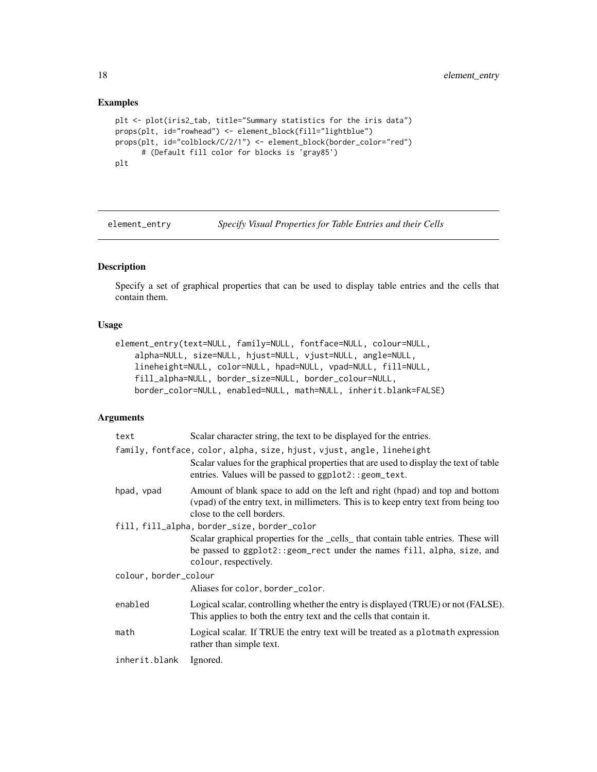#### Examples

```
plt <- plot(iris2_tab, title="Summary statistics for the iris data")
props(plt, id="rowhead") <- element_block(fill="lightblue")
props(plt, id="colblock/C/2/1") <- element_block(border_color="red")
      # (Default fill color for blocks is 'gray85')
plt
```
<span id="page-17-1"></span>element\_entry *Specify Visual Properties for Table Entries and their Cells*

#### Description

Specify a set of graphical properties that can be used to display table entries and the cells that contain them.

#### Usage

```
element_entry(text=NULL, family=NULL, fontface=NULL, colour=NULL,
   alpha=NULL, size=NULL, hjust=NULL, vjust=NULL, angle=NULL,
   lineheight=NULL, color=NULL, hpad=NULL, vpad=NULL, fill=NULL,
   fill_alpha=NULL, border_size=NULL, border_colour=NULL,
   border_color=NULL, enabled=NULL, math=NULL, inherit.blank=FALSE)
```
#### Arguments

| text                  | Scalar character string, the text to be displayed for the entries.                                                                                                                                                       |
|-----------------------|--------------------------------------------------------------------------------------------------------------------------------------------------------------------------------------------------------------------------|
|                       | family, fontface, color, alpha, size, hjust, vjust, angle, lineheight<br>Scalar values for the graphical properties that are used to display the text of table<br>entries. Values will be passed to ggplot2:: geom_text. |
| hpad, vpad            | Amount of blank space to add on the left and right (hpad) and top and bottom<br>(vpad) of the entry text, in millimeters. This is to keep entry text from being too<br>close to the cell borders.                        |
|                       | fill, fill_alpha, border_size, border_color                                                                                                                                                                              |
|                       | Scalar graphical properties for the _cells_ that contain table entries. These will<br>be passed to ggplot2:: geom_rect under the names fill, alpha, size, and<br>colour, respectively.                                   |
| colour, border_colour |                                                                                                                                                                                                                          |
|                       | Aliases for color, border_color.                                                                                                                                                                                         |
| enabled               | Logical scalar, controlling whether the entry is displayed (TRUE) or not (FALSE).<br>This applies to both the entry text and the cells that contain it.                                                                  |
| math                  | Logical scalar. If TRUE the entry text will be treated as a plotmath expression<br>rather than simple text.                                                                                                              |
| inherit.blank         | Ignored.                                                                                                                                                                                                                 |

<span id="page-17-0"></span>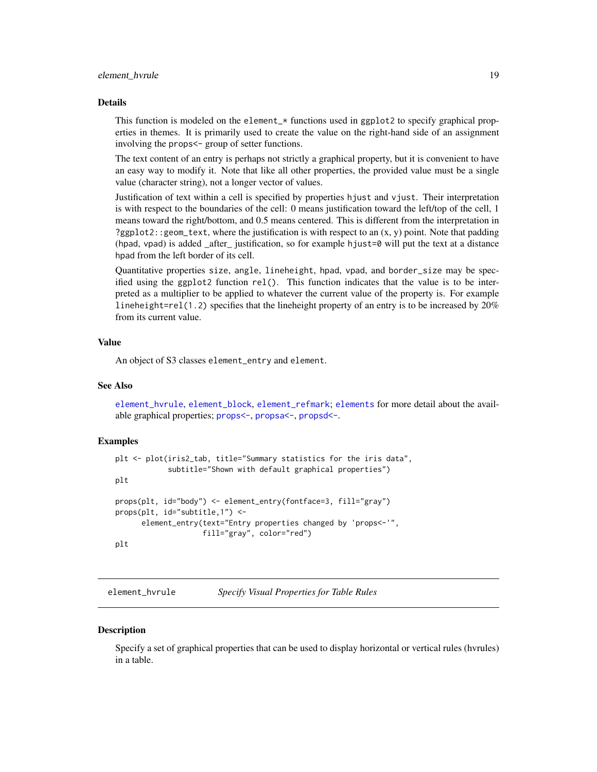#### <span id="page-18-0"></span>Details

This function is modeled on the element\_\* functions used in ggplot2 to specify graphical properties in themes. It is primarily used to create the value on the right-hand side of an assignment involving the props<- group of setter functions.

The text content of an entry is perhaps not strictly a graphical property, but it is convenient to have an easy way to modify it. Note that like all other properties, the provided value must be a single value (character string), not a longer vector of values.

Justification of text within a cell is specified by properties hjust and vjust. Their interpretation is with respect to the boundaries of the cell: 0 means justification toward the left/top of the cell, 1 means toward the right/bottom, and 0.5 means centered. This is different from the interpretation in ?ggplot2::geom\_text, where the justification is with respect to an (x, y) point. Note that padding  $(hpad, vpad)$  is added after justification, so for example hjust=0 will put the text at a distance hpad from the left border of its cell.

Quantitative properties size, angle, lineheight, hpad, vpad, and border\_size may be specified using the ggplot2 function  $rel()$ . This function indicates that the value is to be interpreted as a multiplier to be applied to whatever the current value of the property is. For example lineheight=rel(1.2) specifies that the lineheight property of an entry is to be increased by  $20\%$ from its current value.

#### Value

An object of S3 classes element\_entry and element.

#### See Also

element hvrule, element block, element refmark; [elements](#page-11-1) for more detail about the available graphical properties; [props<-](#page-31-1), [propsa<-](#page-33-1), [propsd<-](#page-35-1).

#### Examples

```
plt <- plot(iris2_tab, title="Summary statistics for the iris data",
            subtitle="Shown with default graphical properties")
plt
props(plt, id="body") <- element_entry(fontface=3, fill="gray")
props(plt, id="subtitle,1") <-
     element_entry(text="Entry properties changed by 'props<-'",
                    fill="gray", color="red")
plt
```
<span id="page-18-1"></span>element\_hvrule *Specify Visual Properties for Table Rules*

#### **Description**

Specify a set of graphical properties that can be used to display horizontal or vertical rules (hvrules) in a table.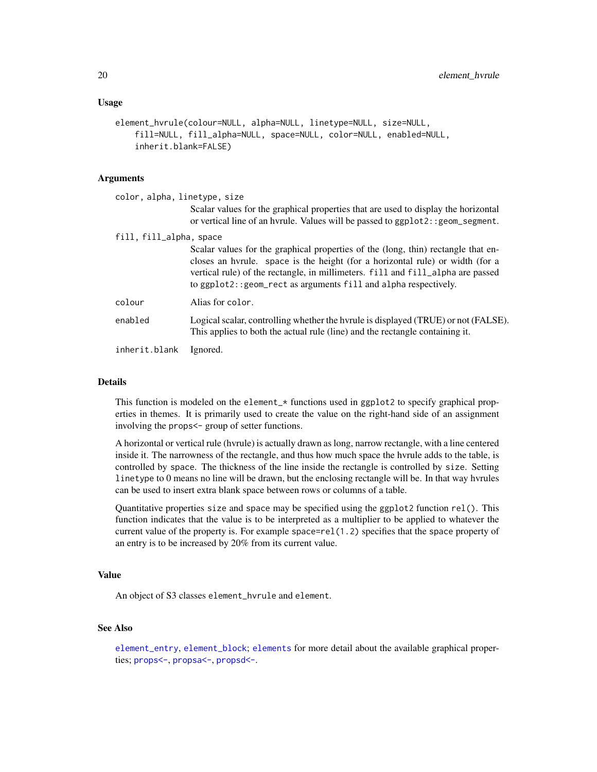#### <span id="page-19-0"></span>Usage

```
element_hvrule(colour=NULL, alpha=NULL, linetype=NULL, size=NULL,
    fill=NULL, fill_alpha=NULL, space=NULL, color=NULL, enabled=NULL,
    inherit.blank=FALSE)
```
#### Arguments

| color, alpha, linetype, size |                                                                                                                                                                                                                                                                                                                           |
|------------------------------|---------------------------------------------------------------------------------------------------------------------------------------------------------------------------------------------------------------------------------------------------------------------------------------------------------------------------|
|                              | Scalar values for the graphical properties that are used to display the horizontal<br>or vertical line of an hyrule. Values will be passed to ggp1ot2: : geom_segment.                                                                                                                                                    |
| fill, fill_alpha, space      |                                                                                                                                                                                                                                                                                                                           |
|                              | Scalar values for the graphical properties of the (long, thin) rectangle that en-<br>closes an hyrule. space is the height (for a horizontal rule) or width (for a<br>vertical rule) of the rectangle, in millimeters. fill and fill_alpha are passed<br>to ggplot2:: geom_rect as arguments fill and alpha respectively. |
| colour                       | Alias for color.                                                                                                                                                                                                                                                                                                          |
| enabled                      | Logical scalar, controlling whether the hyrule is displayed (TRUE) or not (FALSE).<br>This applies to both the actual rule (line) and the rectangle containing it.                                                                                                                                                        |
|                              |                                                                                                                                                                                                                                                                                                                           |

inherit.blank Ignored.

#### Details

This function is modeled on the element\_\* functions used in ggplot2 to specify graphical properties in themes. It is primarily used to create the value on the right-hand side of an assignment involving the props<- group of setter functions.

A horizontal or vertical rule (hvrule) is actually drawn as long, narrow rectangle, with a line centered inside it. The narrowness of the rectangle, and thus how much space the hvrule adds to the table, is controlled by space. The thickness of the line inside the rectangle is controlled by size. Setting linetype to 0 means no line will be drawn, but the enclosing rectangle will be. In that way hvrules can be used to insert extra blank space between rows or columns of a table.

Quantitative properties size and space may be specified using the ggplot2 function rel(). This function indicates that the value is to be interpreted as a multiplier to be applied to whatever the current value of the property is. For example space=rel(1.2) specifies that the space property of an entry is to be increased by 20% from its current value.

#### Value

An object of S3 classes element\_hvrule and element.

#### See Also

[element\\_entry](#page-17-1), [element\\_block](#page-16-1); [elements](#page-11-1) for more detail about the available graphical properties; [props<-](#page-31-1), [propsa<-](#page-33-1), [propsd<-](#page-35-1).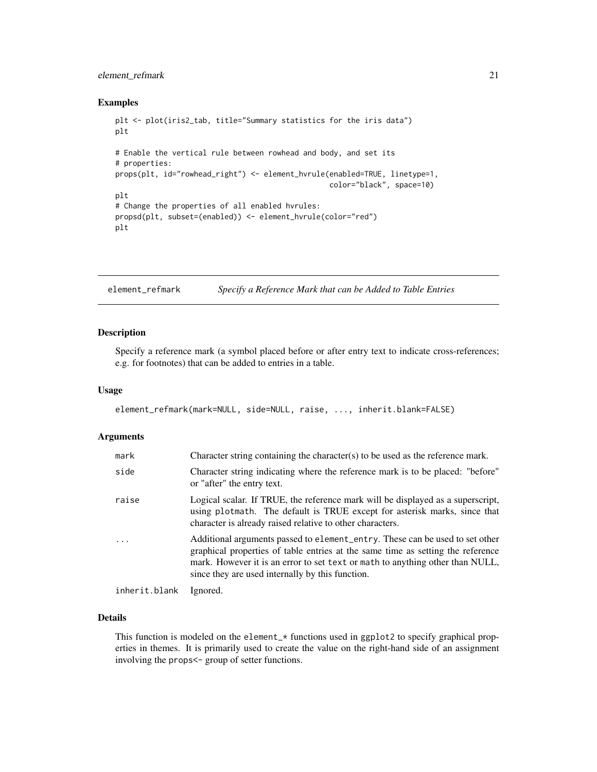#### <span id="page-20-0"></span>element\_refmark 21

#### Examples

```
plt <- plot(iris2_tab, title="Summary statistics for the iris data")
plt
# Enable the vertical rule between rowhead and body, and set its
# properties:
props(plt, id="rowhead_right") <- element_hvrule(enabled=TRUE, linetype=1,
                                                 color="black", space=10)
plt
# Change the properties of all enabled hvrules:
propsd(plt, subset=(enabled)) <- element_hvrule(color="red")
plt
```
<span id="page-20-1"></span>element\_refmark *Specify a Reference Mark that can be Added to Table Entries*

#### Description

Specify a reference mark (a symbol placed before or after entry text to indicate cross-references; e.g. for footnotes) that can be added to entries in a table.

#### Usage

```
element_refmark(mark=NULL, side=NULL, raise, ..., inherit.blank=FALSE)
```
#### Arguments

| mark          | Character string containing the character(s) to be used as the reference mark.                                                                                                                                                                                                                       |
|---------------|------------------------------------------------------------------------------------------------------------------------------------------------------------------------------------------------------------------------------------------------------------------------------------------------------|
| side          | Character string indicating where the reference mark is to be placed: "before"<br>or "after" the entry text.                                                                                                                                                                                         |
| raise         | Logical scalar. If TRUE, the reference mark will be displayed as a superscript,<br>using plotmath. The default is TRUE except for asterisk marks, since that<br>character is already raised relative to other characters.                                                                            |
|               | Additional arguments passed to element_entry. These can be used to set other<br>graphical properties of table entries at the same time as setting the reference<br>mark. However it is an error to set text or math to anything other than NULL,<br>since they are used internally by this function. |
| inherit.blank | Ignored.                                                                                                                                                                                                                                                                                             |

#### Details

This function is modeled on the element\_\* functions used in ggplot2 to specify graphical properties in themes. It is primarily used to create the value on the right-hand side of an assignment involving the props<- group of setter functions.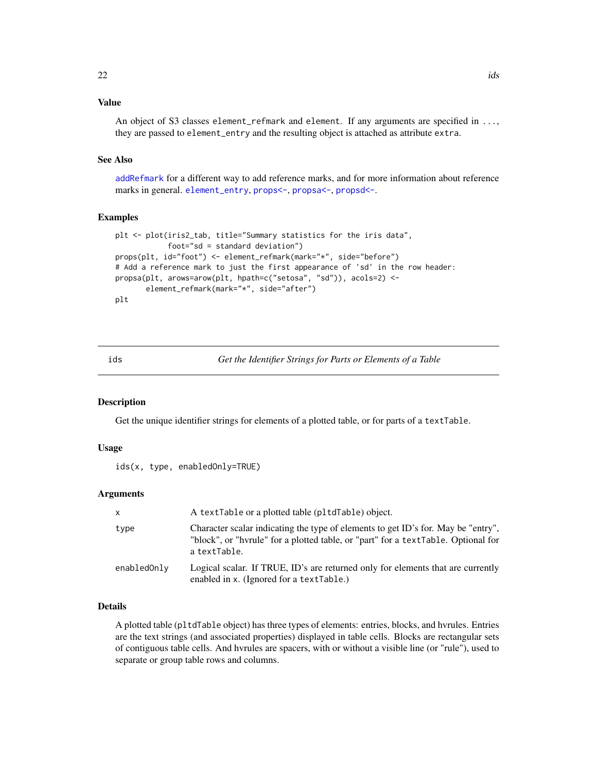#### <span id="page-21-0"></span>Value

An object of S3 classes element\_refmark and element. If any arguments are specified in ..., they are passed to element\_entry and the resulting object is attached as attribute extra.

#### See Also

[addRefmark](#page-7-1) for a different way to add reference marks, and for more information about reference marks in general. [element\\_entry](#page-17-1), [props<-](#page-31-1), [propsa<-](#page-33-1), [propsd<-](#page-35-1).

#### Examples

```
plt <- plot(iris2_tab, title="Summary statistics for the iris data",
            foot="sd = standard deviation")
props(plt, id="foot") <- element_refmark(mark="*", side="before")
# Add a reference mark to just the first appearance of 'sd' in the row header:
propsa(plt, arows=arow(plt, hpath=c("setosa", "sd")), acols=2) <-
      element_refmark(mark="*", side="after")
plt
```
<span id="page-21-1"></span>ids *Get the Identifier Strings for Parts or Elements of a Table*

#### **Description**

Get the unique identifier strings for elements of a plotted table, or for parts of a textTable.

#### Usage

```
ids(x, type, enabledOnly=TRUE)
```
#### Arguments

| $\mathsf{X}$ | A textTable or a plotted table (pltdTable) object.                                                                                                                                     |
|--------------|----------------------------------------------------------------------------------------------------------------------------------------------------------------------------------------|
| type         | Character scalar indicating the type of elements to get ID's for. May be "entry",<br>"block", or "hyrule" for a plotted table, or "part" for a textTable. Optional for<br>a textTable. |
| enabledOnly  | Logical scalar. If TRUE, ID's are returned only for elements that are currently<br>enabled in x. (Ignored for a textTable.)                                                            |

#### Details

A plotted table (pltdTable object) has three types of elements: entries, blocks, and hvrules. Entries are the text strings (and associated properties) displayed in table cells. Blocks are rectangular sets of contiguous table cells. And hvrules are spacers, with or without a visible line (or "rule"), used to separate or group table rows and columns.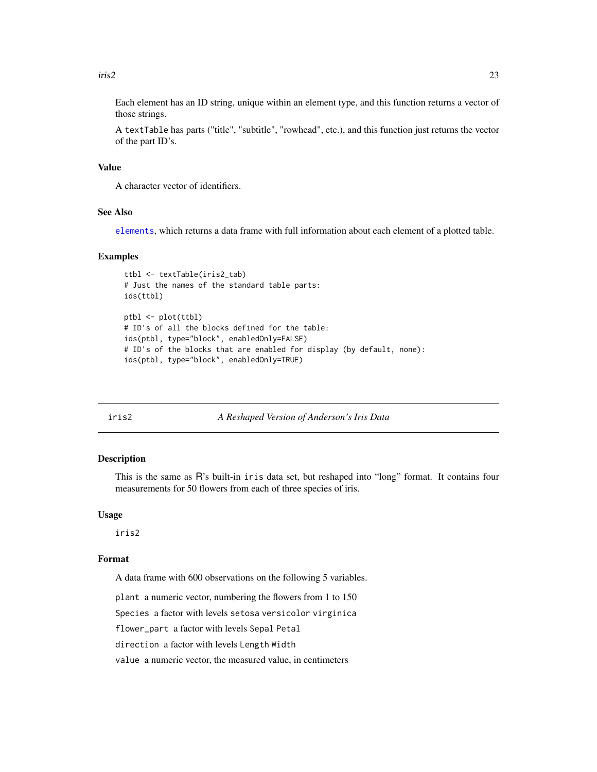#### <span id="page-22-0"></span> $\frac{1}{2}$  23

Each element has an ID string, unique within an element type, and this function returns a vector of those strings.

A textTable has parts ("title", "subtitle", "rowhead", etc.), and this function just returns the vector of the part ID's.

#### Value

A character vector of identifiers.

#### See Also

[elements](#page-11-1), which returns a data frame with full information about each element of a plotted table.

#### Examples

```
ttbl <- textTable(iris2_tab)
# Just the names of the standard table parts:
ids(ttbl)
ptbl <- plot(ttbl)
# ID's of all the blocks defined for the table:
ids(ptbl, type="block", enabledOnly=FALSE)
# ID's of the blocks that are enabled for display (by default, none):
ids(ptbl, type="block", enabledOnly=TRUE)
```
<span id="page-22-1"></span>

iris2 *A Reshaped Version of Anderson's Iris Data*

#### Description

This is the same as R's built-in iris data set, but reshaped into "long" format. It contains four measurements for 50 flowers from each of three species of iris.

#### Usage

iris2

#### Format

A data frame with 600 observations on the following 5 variables.

plant a numeric vector, numbering the flowers from 1 to 150

Species a factor with levels setosa versicolor virginica

flower\_part a factor with levels Sepal Petal

direction a factor with levels Length Width

value a numeric vector, the measured value, in centimeters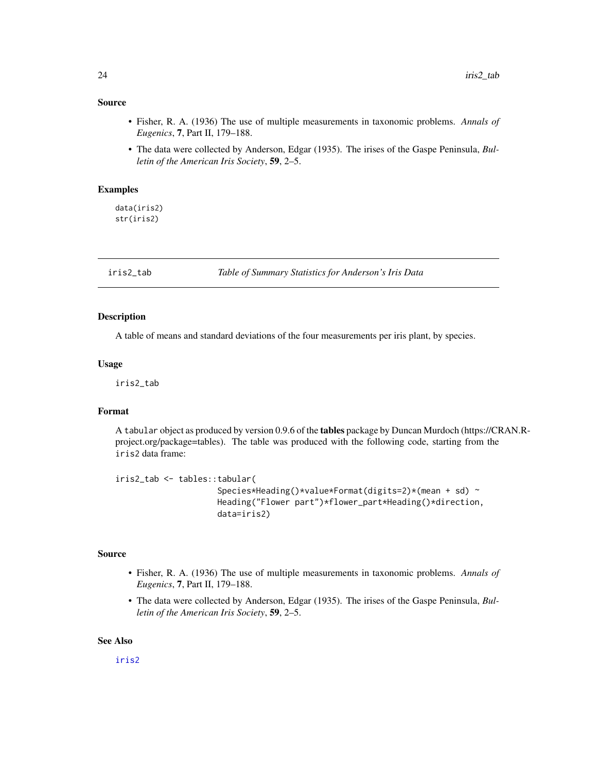#### <span id="page-23-0"></span>Source

- Fisher, R. A. (1936) The use of multiple measurements in taxonomic problems. *Annals of Eugenics*, 7, Part II, 179–188.
- The data were collected by Anderson, Edgar (1935). The irises of the Gaspe Peninsula, *Bulletin of the American Iris Society*, 59, 2–5.

#### Examples

data(iris2) str(iris2)

iris2\_tab *Table of Summary Statistics for Anderson's Iris Data*

#### Description

A table of means and standard deviations of the four measurements per iris plant, by species.

#### Usage

iris2\_tab

#### Format

A tabular object as produced by version 0.9.6 of the tables package by Duncan Murdoch (https://CRAN.Rproject.org/package=tables). The table was produced with the following code, starting from the iris2 data frame:

```
iris2_tab <- tables::tabular(
                     Species*Heading()*value*Format(digits=2)*(mean + sd) ~
                     Heading("Flower part")*flower_part*Heading()*direction,
                     data=iris2)
```
#### Source

- Fisher, R. A. (1936) The use of multiple measurements in taxonomic problems. *Annals of Eugenics*, 7, Part II, 179–188.
- The data were collected by Anderson, Edgar (1935). The irises of the Gaspe Peninsula, *Bulletin of the American Iris Society*, 59, 2–5.

#### See Also

[iris2](#page-22-1)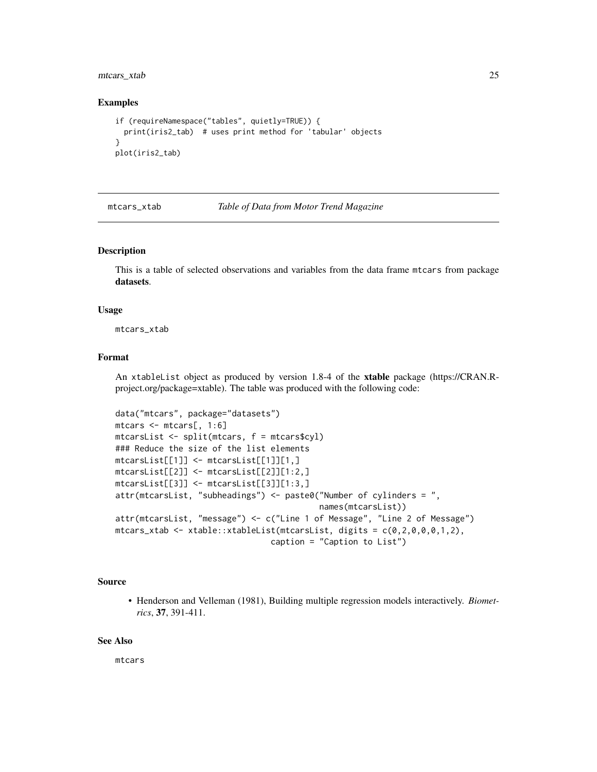<span id="page-24-0"></span>mtcars\_xtab 25

#### Examples

```
if (requireNamespace("tables", quietly=TRUE)) {
 print(iris2_tab) # uses print method for 'tabular' objects
}
plot(iris2_tab)
```
mtcars\_xtab *Table of Data from Motor Trend Magazine*

#### Description

This is a table of selected observations and variables from the data frame mtcars from package datasets.

#### Usage

mtcars\_xtab

#### Format

An xtableList object as produced by version 1.8-4 of the xtable package (https://CRAN.Rproject.org/package=xtable). The table was produced with the following code:

```
data("mtcars", package="datasets")
mtcars <- mtcars[, 1:6]
mtcarsList <- split(mtcars, f = mtcars$cyl)
### Reduce the size of the list elements
mtcarsList[[1]] <- mtcarsList[[1]][1,]
mtcarsList[[2]] <- mtcarsList[[2]][1:2,]
mtcarsList[[3]] <- mtcarsList[[3]][1:3,]
attr(mtcarsList, "subheadings") <- paste0("Number of cylinders = ",
                                            names(mtcarsList))
attr(mtcarsList, "message") <- c("Line 1 of Message", "Line 2 of Message")
m_{\text{c}} mtcars_xtab <- xtable::xtableList(m_{\text{c}}tarsList, digits = c(0, 2, 0, 0, 0, 1, 2),
                                  caption = "Caption to List")
```
#### Source

• Henderson and Velleman (1981), Building multiple regression models interactively. *Biometrics*, 37, 391-411.

#### See Also

mtcars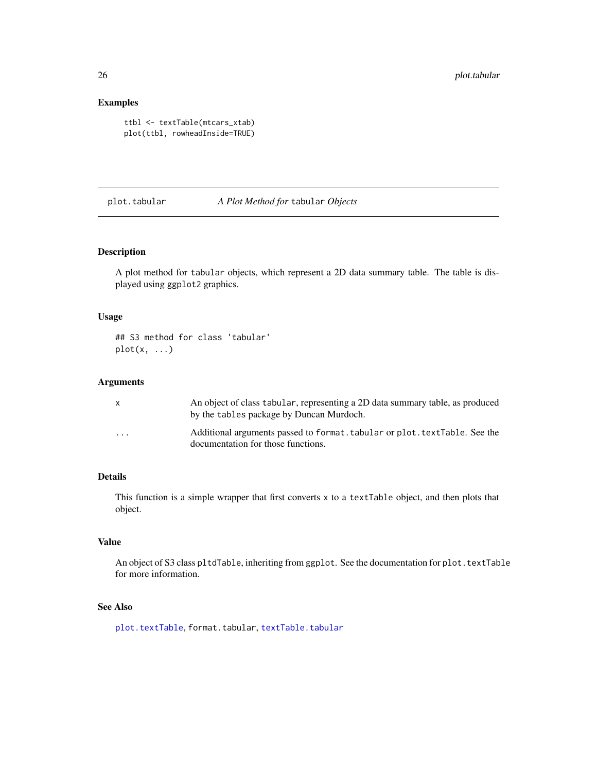#### Examples

```
ttbl <- textTable(mtcars_xtab)
plot(ttbl, rowheadInside=TRUE)
```
#### plot.tabular *A Plot Method for* tabular *Objects*

#### Description

A plot method for tabular objects, which represent a 2D data summary table. The table is displayed using ggplot2 graphics.

#### Usage

## S3 method for class 'tabular'  $plot(x, \ldots)$ 

#### Arguments

|                         | An object of class tabular, representing a 2D data summary table, as produced<br>by the tables package by Duncan Murdoch. |
|-------------------------|---------------------------------------------------------------------------------------------------------------------------|
| $\cdot$ $\cdot$ $\cdot$ | Additional arguments passed to format. tabular or plot. text Table. See the<br>documentation for those functions.         |

### Details

This function is a simple wrapper that first converts x to a textTable object, and then plots that object.

#### Value

An object of S3 class pltdTable, inheriting from ggplot. See the documentation for plot.textTable for more information.

#### See Also

[plot.textTable](#page-26-1), format.tabular, [textTable.tabular](#page-49-1)

<span id="page-25-0"></span>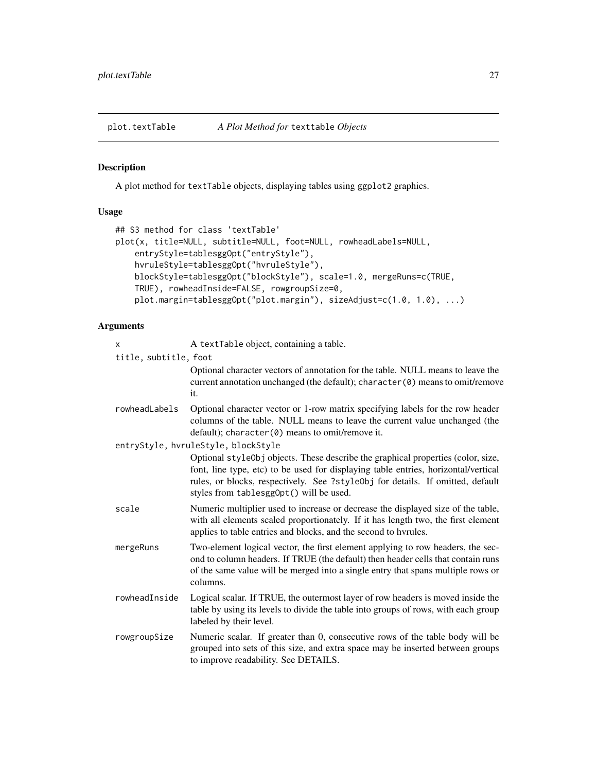<span id="page-26-1"></span><span id="page-26-0"></span>plot.textTable *A Plot Method for* texttable *Objects*

#### Description

A plot method for textTable objects, displaying tables using ggplot2 graphics.

#### Usage

```
## S3 method for class 'textTable'
plot(x, title=NULL, subtitle=NULL, foot=NULL, rowheadLabels=NULL,
    entryStyle=tablesggOpt("entryStyle"),
   hvruleStyle=tablesggOpt("hvruleStyle"),
   blockStyle=tablesggOpt("blockStyle"), scale=1.0, mergeRuns=c(TRUE,
   TRUE), rowheadInside=FALSE, rowgroupSize=0,
   plot.margin=tablesggOpt("plot.margin"), sizeAdjust=c(1.0, 1.0), ...)
```
#### Arguments

| X                     | A textTable object, containing a table.                                                                                                                                                                                                                                                             |
|-----------------------|-----------------------------------------------------------------------------------------------------------------------------------------------------------------------------------------------------------------------------------------------------------------------------------------------------|
| title, subtitle, foot |                                                                                                                                                                                                                                                                                                     |
|                       | Optional character vectors of annotation for the table. NULL means to leave the<br>current annotation unchanged (the default); character (0) means to omit/remove<br>it.                                                                                                                            |
| rowheadLabels         | Optional character vector or 1-row matrix specifying labels for the row header<br>columns of the table. NULL means to leave the current value unchanged (the<br>$default)$ ; character( $0$ ) means to omit/remove it.                                                                              |
|                       | entryStyle, hvruleStyle, blockStyle                                                                                                                                                                                                                                                                 |
|                       | Optional styleObj objects. These describe the graphical properties (color, size,<br>font, line type, etc) to be used for displaying table entries, horizontal/vertical<br>rules, or blocks, respectively. See ?styleObj for details. If omitted, default<br>styles from tablesgg0pt() will be used. |
| scale                 | Numeric multiplier used to increase or decrease the displayed size of the table,<br>with all elements scaled proportionately. If it has length two, the first element<br>applies to table entries and blocks, and the second to hyrules.                                                            |
| mergeRuns             | Two-element logical vector, the first element applying to row headers, the sec-<br>ond to column headers. If TRUE (the default) then header cells that contain runs<br>of the same value will be merged into a single entry that spans multiple rows or<br>columns.                                 |
| rowheadInside         | Logical scalar. If TRUE, the outermost layer of row headers is moved inside the<br>table by using its levels to divide the table into groups of rows, with each group<br>labeled by their level.                                                                                                    |
| rowgroupSize          | Numeric scalar. If greater than 0, consecutive rows of the table body will be<br>grouped into sets of this size, and extra space may be inserted between groups<br>to improve readability. See DETAILS.                                                                                             |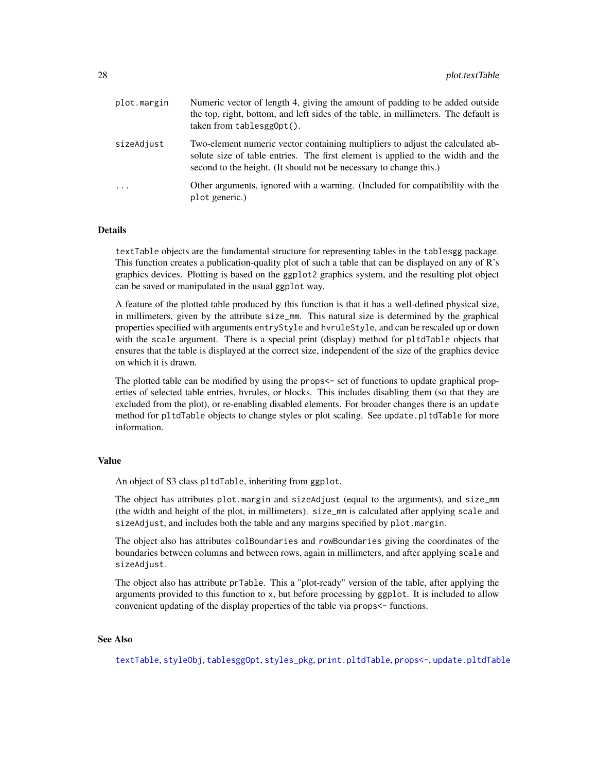<span id="page-27-0"></span>

| plot.margin | Numeric vector of length 4, giving the amount of padding to be added outside<br>the top, right, bottom, and left sides of the table, in millimeters. The default is<br>$taken from tablesgg0pt()$ .                                     |
|-------------|-----------------------------------------------------------------------------------------------------------------------------------------------------------------------------------------------------------------------------------------|
| sizeAdjust  | Two-element numeric vector containing multipliers to adjust the calculated ab-<br>solute size of table entries. The first element is applied to the width and the<br>second to the height. (It should not be necessary to change this.) |
| $\cdots$    | Other arguments, ignored with a warning. (Included for compatibility with the<br>plot generic.)                                                                                                                                         |

#### **Details**

textTable objects are the fundamental structure for representing tables in the tablesgg package. This function creates a publication-quality plot of such a table that can be displayed on any of R's graphics devices. Plotting is based on the ggplot2 graphics system, and the resulting plot object can be saved or manipulated in the usual ggplot way.

A feature of the plotted table produced by this function is that it has a well-defined physical size, in millimeters, given by the attribute size\_mm. This natural size is determined by the graphical properties specified with arguments entryStyle and hvruleStyle, and can be rescaled up or down with the scale argument. There is a special print (display) method for pltdTable objects that ensures that the table is displayed at the correct size, independent of the size of the graphics device on which it is drawn.

The plotted table can be modified by using the props  $\leq$  set of functions to update graphical properties of selected table entries, hvrules, or blocks. This includes disabling them (so that they are excluded from the plot), or re-enabling disabled elements. For broader changes there is an update method for pltdTable objects to change styles or plot scaling. See update.pltdTable for more information.

#### Value

An object of S3 class pltdTable, inheriting from ggplot.

The object has attributes plot.margin and sizeAdjust (equal to the arguments), and size\_mm (the width and height of the plot, in millimeters). size\_mm is calculated after applying scale and sizeAdjust, and includes both the table and any margins specified by plot.margin.

The object also has attributes colBoundaries and rowBoundaries giving the coordinates of the boundaries between columns and between rows, again in millimeters, and after applying scale and sizeAdjust.

The object also has attribute prTable. This a "plot-ready" version of the table, after applying the arguments provided to this function to x, but before processing by ggplot. It is included to allow convenient updating of the display properties of the table via props<- functions.

#### See Also

[textTable](#page-44-1), [styleObj](#page-37-1), [tablesggOpt](#page-42-1), [styles\\_pkg](#page-39-1), [print.pltdTable](#page-29-1), [props<-](#page-31-1), [update.pltdTable](#page-55-1)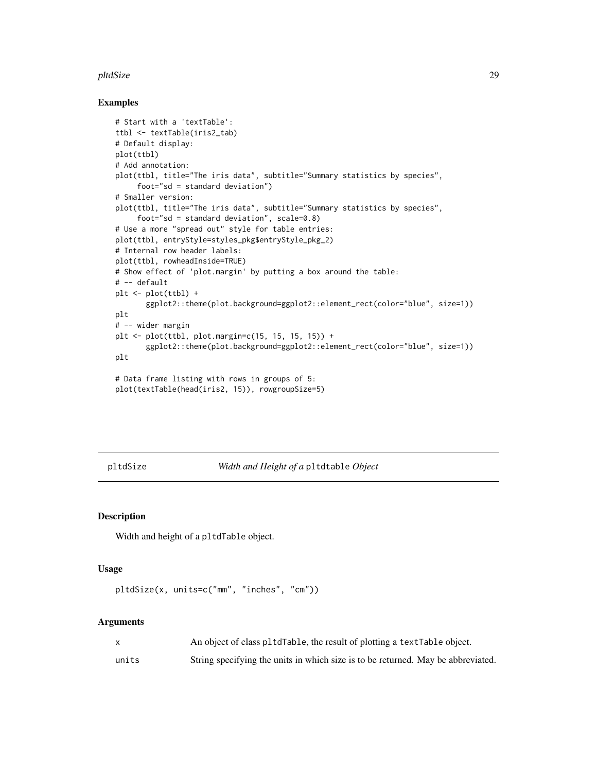#### <span id="page-28-0"></span>pltdSize 29

#### Examples

```
# Start with a 'textTable':
ttbl <- textTable(iris2_tab)
# Default display:
plot(ttbl)
# Add annotation:
plot(ttbl, title="The iris data", subtitle="Summary statistics by species",
     foot="sd = standard deviation")
# Smaller version:
plot(ttbl, title="The iris data", subtitle="Summary statistics by species",
     foot="sd = standard deviation", scale=0.8)
# Use a more "spread out" style for table entries:
plot(ttbl, entryStyle=styles_pkg$entryStyle_pkg_2)
# Internal row header labels:
plot(ttbl, rowheadInside=TRUE)
# Show effect of 'plot.margin' by putting a box around the table:
# -- default
plt <- plot(ttbl) +
       ggplot2::theme(plot.background=ggplot2::element_rect(color="blue", size=1))
plt
# -- wider margin
plt <- plot(ttbl, plot.margin=c(15, 15, 15, 15)) +
       ggplot2::theme(plot.background=ggplot2::element_rect(color="blue", size=1))
plt
# Data frame listing with rows in groups of 5:
plot(textTable(head(iris2, 15)), rowgroupSize=5)
```
pltdSize *Width and Height of a* pltdtable *Object*

#### Description

Width and height of a pltdTable object.

#### Usage

```
pltdSize(x, units=c("mm", "inches", "cm"))
```
#### Arguments

|       | An object of class pltdTable, the result of plotting a textTable object.         |
|-------|----------------------------------------------------------------------------------|
| units | String specifying the units in which size is to be returned. May be abbreviated. |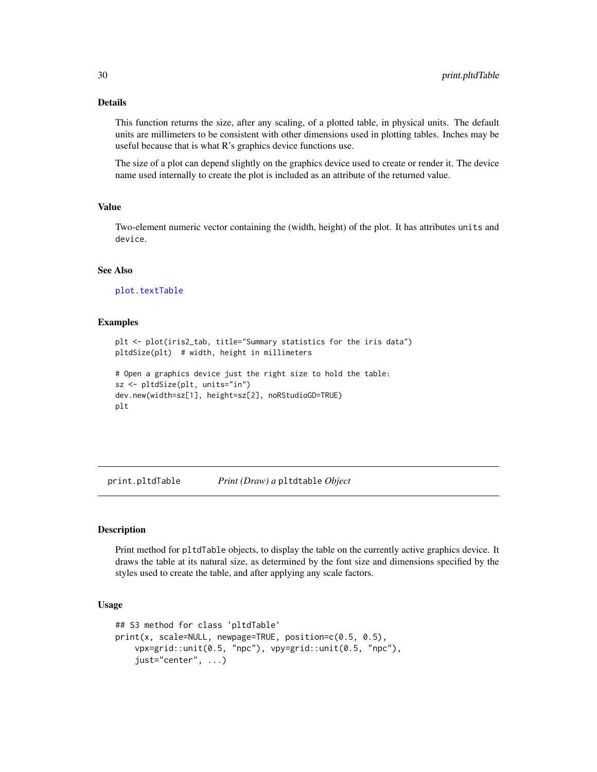#### <span id="page-29-0"></span>Details

This function returns the size, after any scaling, of a plotted table, in physical units. The default units are millimeters to be consistent with other dimensions used in plotting tables. Inches may be useful because that is what R's graphics device functions use.

The size of a plot can depend slightly on the graphics device used to create or render it. The device name used internally to create the plot is included as an attribute of the returned value.

#### Value

Two-element numeric vector containing the (width, height) of the plot. It has attributes units and device.

#### See Also

[plot.textTable](#page-26-1)

#### Examples

```
plt <- plot(iris2_tab, title="Summary statistics for the iris data")
pltdSize(plt) # width, height in millimeters
# Open a graphics device just the right size to hold the table:
```

```
sz <- pltdSize(plt, units="in")
dev.new(width=sz[1], height=sz[2], noRStudioGD=TRUE)
plt
```
<span id="page-29-1"></span>print.pltdTable *Print (Draw) a* pltdtable *Object*

#### Description

Print method for pltdTable objects, to display the table on the currently active graphics device. It draws the table at its natural size, as determined by the font size and dimensions specified by the styles used to create the table, and after applying any scale factors.

#### Usage

```
## S3 method for class 'pltdTable'
print(x, scale=NULL, newpage=TRUE, position=c(0.5, 0.5),
    vpx=grid::unit(0.5, "npc"), vpy=grid::unit(0.5, "npc"),
    just="center", ...)
```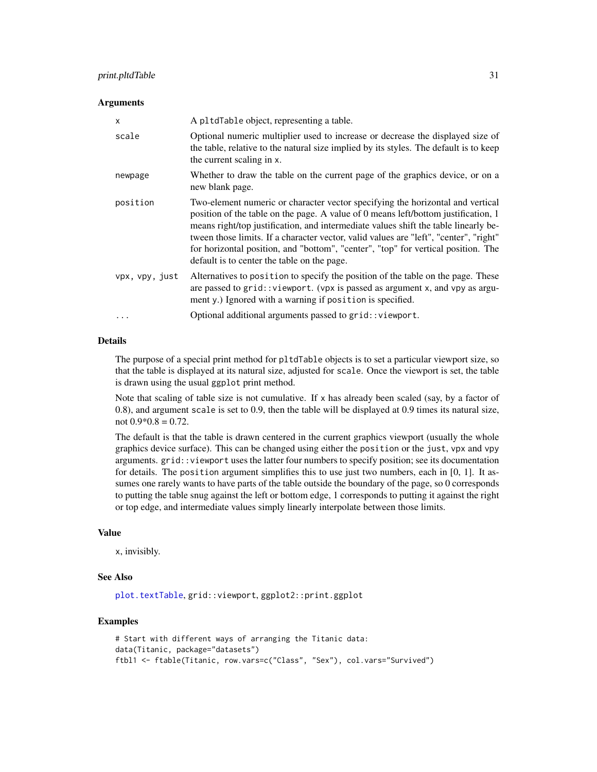#### <span id="page-30-0"></span>print.pltdTable 31

#### **Arguments**

| $\times$       | A pltdTable object, representing a table.                                                                                                                                                                                                                                                                                                                                                                                                                                                |
|----------------|------------------------------------------------------------------------------------------------------------------------------------------------------------------------------------------------------------------------------------------------------------------------------------------------------------------------------------------------------------------------------------------------------------------------------------------------------------------------------------------|
| scale          | Optional numeric multiplier used to increase or decrease the displayed size of<br>the table, relative to the natural size implied by its styles. The default is to keep<br>the current scaling in x.                                                                                                                                                                                                                                                                                     |
| newpage        | Whether to draw the table on the current page of the graphics device, or on a<br>new blank page.                                                                                                                                                                                                                                                                                                                                                                                         |
| position       | Two-element numeric or character vector specifying the horizontal and vertical<br>position of the table on the page. A value of 0 means left/bottom justification, 1<br>means right/top justification, and intermediate values shift the table linearly be-<br>tween those limits. If a character vector, valid values are "left", "center", "right"<br>for horizontal position, and "bottom", "center", "top" for vertical position. The<br>default is to center the table on the page. |
| vpx, vpy, just | Alternatives to position to specify the position of the table on the page. These<br>are passed to grid:: viewport. (vpx is passed as argument x, and vpy as argu-<br>ment y.) Ignored with a warning if position is specified.                                                                                                                                                                                                                                                           |
| $\ddotsc$      | Optional additional arguments passed to grid:: viewport.                                                                                                                                                                                                                                                                                                                                                                                                                                 |

#### Details

The purpose of a special print method for pltdTable objects is to set a particular viewport size, so that the table is displayed at its natural size, adjusted for scale. Once the viewport is set, the table is drawn using the usual ggplot print method.

Note that scaling of table size is not cumulative. If  $x$  has already been scaled (say, by a factor of 0.8), and argument scale is set to 0.9, then the table will be displayed at 0.9 times its natural size, not  $0.9*0.8 = 0.72$ .

The default is that the table is drawn centered in the current graphics viewport (usually the whole graphics device surface). This can be changed using either the position or the just, vpx and vpy arguments. grid::viewport uses the latter four numbers to specify position; see its documentation for details. The position argument simplifies this to use just two numbers, each in [0, 1]. It assumes one rarely wants to have parts of the table outside the boundary of the page, so 0 corresponds to putting the table snug against the left or bottom edge, 1 corresponds to putting it against the right or top edge, and intermediate values simply linearly interpolate between those limits.

#### Value

x, invisibly.

#### See Also

[plot.textTable](#page-26-1), grid::viewport, ggplot2::print.ggplot

```
# Start with different ways of arranging the Titanic data:
data(Titanic, package="datasets")
ftbl1 <- ftable(Titanic, row.vars=c("Class", "Sex"), col.vars="Survived")
```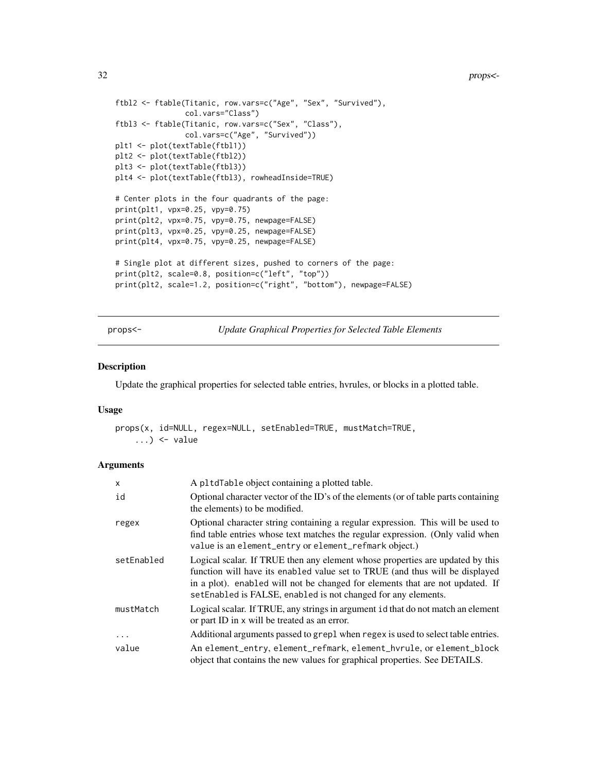```
ftbl2 <- ftable(Titanic, row.vars=c("Age", "Sex", "Survived"),
                col.vars="Class")
ftbl3 <- ftable(Titanic, row.vars=c("Sex", "Class"),
                col.vars=c("Age", "Survived"))
plt1 <- plot(textTable(ftbl1))
plt2 <- plot(textTable(ftbl2))
plt3 <- plot(textTable(ftbl3))
plt4 <- plot(textTable(ftbl3), rowheadInside=TRUE)
# Center plots in the four quadrants of the page:
print(plt1, vpx=0.25, vpy=0.75)
print(plt2, vpx=0.75, vpy=0.75, newpage=FALSE)
print(plt3, vpx=0.25, vpy=0.25, newpage=FALSE)
print(plt4, vpx=0.75, vpy=0.25, newpage=FALSE)
# Single plot at different sizes, pushed to corners of the page:
print(plt2, scale=0.8, position=c("left", "top"))
print(plt2, scale=1.2, position=c("right", "bottom"), newpage=FALSE)
```
<span id="page-31-1"></span>props<- *Update Graphical Properties for Selected Table Elements*

#### Description

Update the graphical properties for selected table entries, hvrules, or blocks in a plotted table.

#### Usage

```
props(x, id=NULL, regex=NULL, setEnabled=TRUE, mustMatch=TRUE,
    \ldots) <- value
```
#### **Arguments**

| x          | A pltdTable object containing a plotted table.                                                                                                                                                                                                                                                                  |
|------------|-----------------------------------------------------------------------------------------------------------------------------------------------------------------------------------------------------------------------------------------------------------------------------------------------------------------|
| id         | Optional character vector of the ID's of the elements (or of table parts containing<br>the elements) to be modified.                                                                                                                                                                                            |
| regex      | Optional character string containing a regular expression. This will be used to<br>find table entries whose text matches the regular expression. (Only valid when<br>value is an element_entry or element_refmark object.)                                                                                      |
| setEnabled | Logical scalar. If TRUE then any element whose properties are updated by this<br>function will have its enabled value set to TRUE (and thus will be displayed<br>in a plot). enabled will not be changed for elements that are not updated. If<br>setEnabled is FALSE, enabled is not changed for any elements. |
| mustMatch  | Logical scalar. If TRUE, any strings in argument id that do not match an element<br>or part ID in x will be treated as an error.                                                                                                                                                                                |
| $\cdots$   | Additional arguments passed to grep1 when regex is used to select table entries.                                                                                                                                                                                                                                |
| value      | An element_entry, element_refmark, element_hvrule, or element_block<br>object that contains the new values for graphical properties. See DETAILS.                                                                                                                                                               |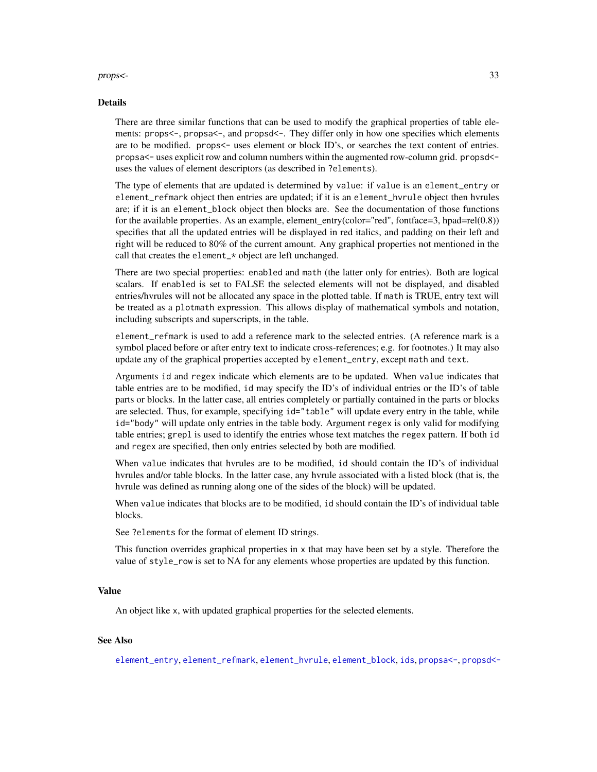#### <span id="page-32-0"></span>props<- 33

#### Details

There are three similar functions that can be used to modify the graphical properties of table elements: props<-, propsa<-, and propsd<-. They differ only in how one specifies which elements are to be modified. props<- uses element or block ID's, or searches the text content of entries. propsa<- uses explicit row and column numbers within the augmented row-column grid. propsd< uses the values of element descriptors (as described in ?elements).

The type of elements that are updated is determined by value: if value is an element\_entry or element\_refmark object then entries are updated; if it is an element\_hvrule object then hvrules are; if it is an element\_block object then blocks are. See the documentation of those functions for the available properties. As an example, element\_entry(color="red", fontface=3, hpad=rel(0.8)) specifies that all the updated entries will be displayed in red italics, and padding on their left and right will be reduced to 80% of the current amount. Any graphical properties not mentioned in the call that creates the element\_\* object are left unchanged.

There are two special properties: enabled and math (the latter only for entries). Both are logical scalars. If enabled is set to FALSE the selected elements will not be displayed, and disabled entries/hvrules will not be allocated any space in the plotted table. If math is TRUE, entry text will be treated as a plotmath expression. This allows display of mathematical symbols and notation, including subscripts and superscripts, in the table.

element\_refmark is used to add a reference mark to the selected entries. (A reference mark is a symbol placed before or after entry text to indicate cross-references; e.g. for footnotes.) It may also update any of the graphical properties accepted by element\_entry, except math and text.

Arguments id and regex indicate which elements are to be updated. When value indicates that table entries are to be modified, id may specify the ID's of individual entries or the ID's of table parts or blocks. In the latter case, all entries completely or partially contained in the parts or blocks are selected. Thus, for example, specifying id="table" will update every entry in the table, while id="body" will update only entries in the table body. Argument regex is only valid for modifying table entries; grepl is used to identify the entries whose text matches the regex pattern. If both id and regex are specified, then only entries selected by both are modified.

When value indicates that hvrules are to be modified, id should contain the ID's of individual hvrules and/or table blocks. In the latter case, any hvrule associated with a listed block (that is, the hvrule was defined as running along one of the sides of the block) will be updated.

When value indicates that blocks are to be modified, id should contain the ID's of individual table blocks.

See ?elements for the format of element ID strings.

This function overrides graphical properties in x that may have been set by a style. Therefore the value of style\_row is set to NA for any elements whose properties are updated by this function.

#### Value

An object like x, with updated graphical properties for the selected elements.

#### See Also

[element\\_entry](#page-17-1), [element\\_refmark](#page-20-1), [element\\_hvrule](#page-18-1), [element\\_block](#page-16-1), [ids](#page-21-1), [propsa<-](#page-33-1), [propsd<-](#page-35-1)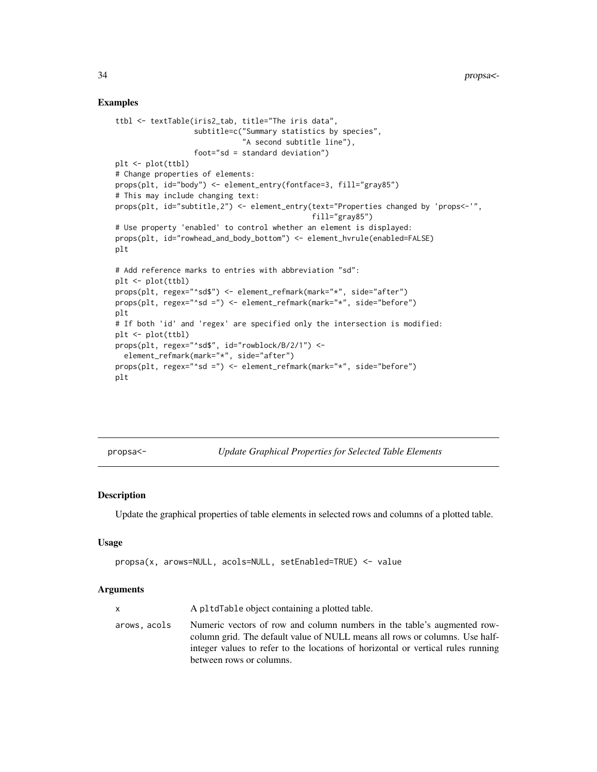#### Examples

```
ttbl <- textTable(iris2_tab, title="The iris data",
                  subtitle=c("Summary statistics by species",
                             "A second subtitle line"),
                  foot="sd = standard deviation")
plt <- plot(ttbl)
# Change properties of elements:
props(plt, id="body") <- element_entry(fontface=3, fill="gray85")
# This may include changing text:
props(plt, id="subtitle,2") <- element_entry(text="Properties changed by 'props<-'",
                                             fill="gray85")
# Use property 'enabled' to control whether an element is displayed:
props(plt, id="rowhead_and_body_bottom") <- element_hvrule(enabled=FALSE)
plt
# Add reference marks to entries with abbreviation "sd":
plt <- plot(ttbl)
props(plt, regex="^sd$") <- element_refmark(mark="*", side="after")
props(plt, regex="^sd =") <- element_refmark(mark="*", side="before")
plt
# If both 'id' and 'regex' are specified only the intersection is modified:
plt <- plot(ttbl)
props(plt, regex="^sd$", id="rowblock/B/2/1") <-
  element_refmark(mark="*", side="after")
props(plt, regex="^sd =") <- element_refmark(mark="*", side="before")
plt
```
<span id="page-33-1"></span>propsa<- *Update Graphical Properties for Selected Table Elements*

#### Description

Update the graphical properties of table elements in selected rows and columns of a plotted table.

#### Usage

```
propsa(x, arows=NULL, acols=NULL, setEnabled=TRUE) <- value
```
#### Arguments

| X            | A pltdTable object containing a plotted table.                                                                                                                                                                                                                         |
|--------------|------------------------------------------------------------------------------------------------------------------------------------------------------------------------------------------------------------------------------------------------------------------------|
| arows, acols | Numeric vectors of row and column numbers in the table's augmented row-<br>column grid. The default value of NULL means all rows or columns. Use half-<br>integer values to refer to the locations of horizontal or vertical rules running<br>between rows or columns. |

<span id="page-33-0"></span>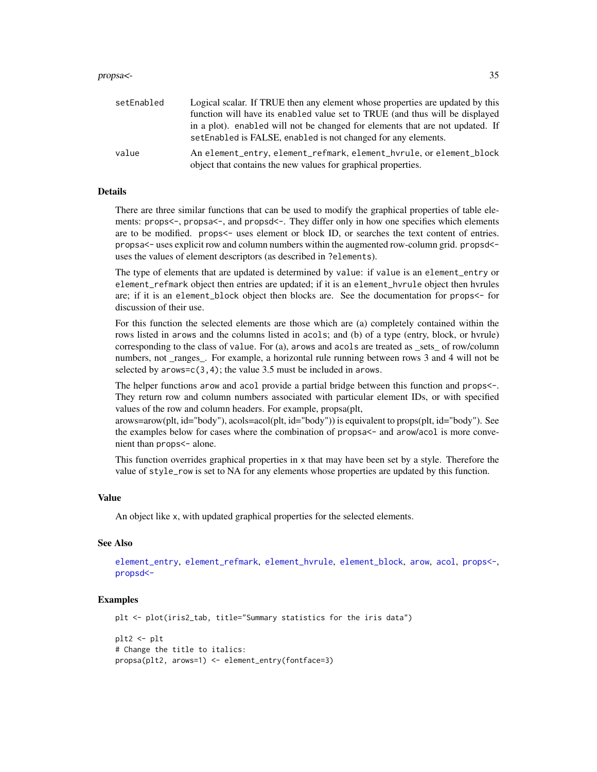#### <span id="page-34-0"></span>propsa<- 35

| setEnabled | Logical scalar. If TRUE then any element whose properties are updated by this                                                                  |
|------------|------------------------------------------------------------------------------------------------------------------------------------------------|
|            | function will have its enabled value set to TRUE (and thus will be displayed                                                                   |
|            | in a plot). enabled will not be changed for elements that are not updated. If<br>setEnabled is FALSE, enabled is not changed for any elements. |
| value      | An element_entry, element_refmark, element_hyrule, or element_block<br>object that contains the new values for graphical properties.           |

#### Details

There are three similar functions that can be used to modify the graphical properties of table elements: props<-, propsa<-, and propsd<-. They differ only in how one specifies which elements are to be modified. props<- uses element or block ID, or searches the text content of entries. propsa<- uses explicit row and column numbers within the augmented row-column grid. propsd< uses the values of element descriptors (as described in ?elements).

The type of elements that are updated is determined by value: if value is an element\_entry or element\_refmark object then entries are updated; if it is an element\_hvrule object then hvrules are; if it is an element\_block object then blocks are. See the documentation for props<- for discussion of their use.

For this function the selected elements are those which are (a) completely contained within the rows listed in arows and the columns listed in acols; and (b) of a type (entry, block, or hvrule) corresponding to the class of value. For (a), arows and acols are treated as \_sets\_ of row/column numbers, not \_ranges\_. For example, a horizontal rule running between rows 3 and 4 will not be selected by  $arows = c(3, 4)$ ; the value 3.5 must be included in  $arows$ .

The helper functions arow and acol provide a partial bridge between this function and props<-. They return row and column numbers associated with particular element IDs, or with specified values of the row and column headers. For example, propsa(plt,

arows=arow(plt, id="body"), acols=acol(plt, id="body")) is equivalent to props(plt, id="body"). See the examples below for cases where the combination of propsa<- and arow/acol is more convenient than props<- alone.

This function overrides graphical properties in x that may have been set by a style. Therefore the value of style\_row is set to NA for any elements whose properties are updated by this function.

#### Value

An object like x, with updated graphical properties for the selected elements.

#### See Also

[element\\_entry](#page-17-1), [element\\_refmark](#page-20-1), [element\\_hvrule](#page-18-1), [element\\_block](#page-16-1), [arow](#page-9-1), [acol](#page-2-1), [props<-](#page-31-1), [propsd<-](#page-35-1)

```
plt <- plot(iris2_tab, title="Summary statistics for the iris data")
plt2 <- plt
# Change the title to italics:
propsa(plt2, arows=1) <- element_entry(fontface=3)
```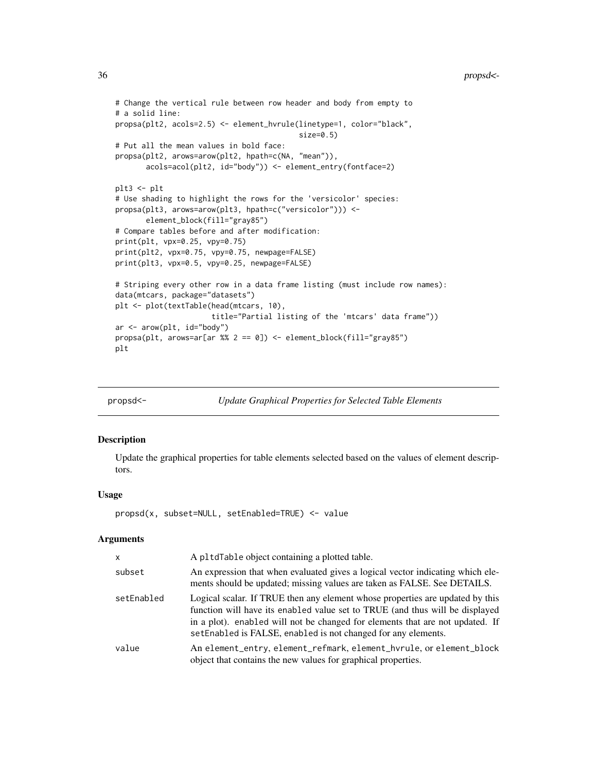#### <span id="page-35-0"></span>36 propsd<-

```
# Change the vertical rule between row header and body from empty to
# a solid line:
propsa(plt2, acols=2.5) <- element_hvrule(linetype=1, color="black",
                                          size=0.5)
# Put all the mean values in bold face:
propsa(plt2, arows=arow(plt2, hpath=c(NA, "mean")),
       acols=acol(plt2, id="body")) <- element_entry(fontface=2)
plt3 <- plt
# Use shading to highlight the rows for the 'versicolor' species:
propsa(plt3, arows=arow(plt3, hpath=c("versicolor"))) <-
       element_block(fill="gray85")
# Compare tables before and after modification:
print(plt, vpx=0.25, vpy=0.75)
print(plt2, vpx=0.75, vpy=0.75, newpage=FALSE)
print(plt3, vpx=0.5, vpy=0.25, newpage=FALSE)
# Striping every other row in a data frame listing (must include row names):
data(mtcars, package="datasets")
plt <- plot(textTable(head(mtcars, 10),
                      title="Partial listing of the 'mtcars' data frame"))
ar <- arow(plt, id="body")
propsa(plt, arows=ar[ar %% 2 == 0]) <- element_block(fill="gray85")
plt
```
<span id="page-35-1"></span>

propsd<- *Update Graphical Properties for Selected Table Elements*

#### Description

Update the graphical properties for table elements selected based on the values of element descriptors.

#### Usage

```
propsd(x, subset=NULL, setEnabled=TRUE) <- value
```
#### **Arguments**

| X          | A pltdTable object containing a plotted table.                                                                                                                                                                                                                                                                  |
|------------|-----------------------------------------------------------------------------------------------------------------------------------------------------------------------------------------------------------------------------------------------------------------------------------------------------------------|
| subset     | An expression that when evaluated gives a logical vector indicating which ele-<br>ments should be updated; missing values are taken as FALSE. See DETAILS.                                                                                                                                                      |
| setEnabled | Logical scalar. If TRUE then any element whose properties are updated by this<br>function will have its enabled value set to TRUE (and thus will be displayed<br>in a plot). enabled will not be changed for elements that are not updated. If<br>setEnabled is FALSE, enabled is not changed for any elements. |
| value      | An element_entry, element_refmark, element_hyrule, or element_block<br>object that contains the new values for graphical properties.                                                                                                                                                                            |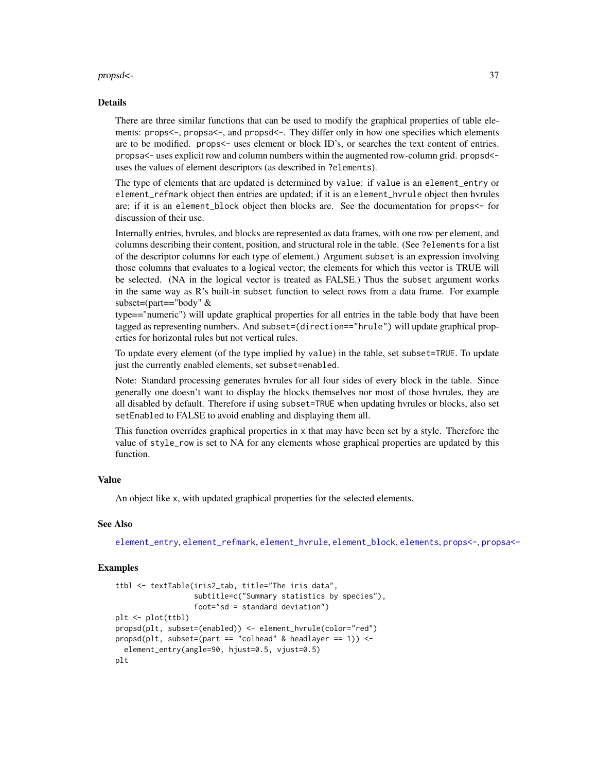#### <span id="page-36-0"></span>propsd<- 37

#### Details

There are three similar functions that can be used to modify the graphical properties of table elements: props<-, propsa<-, and propsd<-. They differ only in how one specifies which elements are to be modified. props<- uses element or block ID's, or searches the text content of entries. propsa<- uses explicit row and column numbers within the augmented row-column grid. propsd< uses the values of element descriptors (as described in ?elements).

The type of elements that are updated is determined by value: if value is an element\_entry or element\_refmark object then entries are updated; if it is an element\_hvrule object then hvrules are; if it is an element\_block object then blocks are. See the documentation for props<- for discussion of their use.

Internally entries, hvrules, and blocks are represented as data frames, with one row per element, and columns describing their content, position, and structural role in the table. (See ?elements for a list of the descriptor columns for each type of element.) Argument subset is an expression involving those columns that evaluates to a logical vector; the elements for which this vector is TRUE will be selected. (NA in the logical vector is treated as FALSE.) Thus the subset argument works in the same way as R's built-in subset function to select rows from a data frame. For example subset=(part=="body" &

type=="numeric") will update graphical properties for all entries in the table body that have been tagged as representing numbers. And subset=(direction=="hrule") will update graphical properties for horizontal rules but not vertical rules.

To update every element (of the type implied by value) in the table, set subset=TRUE. To update just the currently enabled elements, set subset=enabled.

Note: Standard processing generates hvrules for all four sides of every block in the table. Since generally one doesn't want to display the blocks themselves nor most of those hvrules, they are all disabled by default. Therefore if using subset=TRUE when updating hvrules or blocks, also set setEnabled to FALSE to avoid enabling and displaying them all.

This function overrides graphical properties in x that may have been set by a style. Therefore the value of style\_row is set to NA for any elements whose graphical properties are updated by this function.

#### Value

An object like x, with updated graphical properties for the selected elements.

#### See Also

[element\\_entry](#page-17-1), [element\\_refmark](#page-20-1), [element\\_hvrule](#page-18-1), [element\\_block](#page-16-1), [elements](#page-11-1), [props<-](#page-31-1), [propsa<-](#page-33-1)

```
ttbl <- textTable(iris2_tab, title="The iris data",
                  subtitle=c("Summary statistics by species"),
                  foot="sd = standard deviation")
plt <- plot(ttbl)
propsd(plt, subset=(enabled)) <- element_hvrule(color="red")
propsd(plt, subset=(part == "colhead" & headlayer == 1)) <-
 element_entry(angle=90, hjust=0.5, vjust=0.5)
plt
```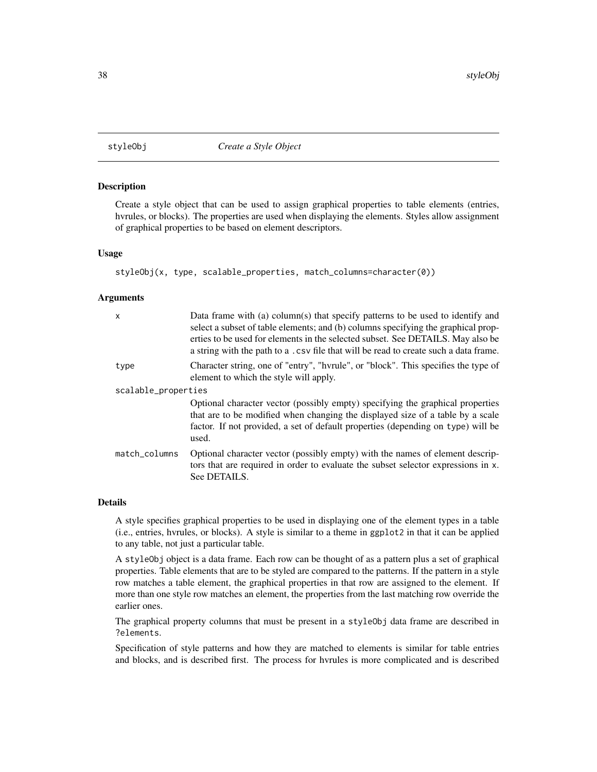<span id="page-37-1"></span><span id="page-37-0"></span>

#### Description

Create a style object that can be used to assign graphical properties to table elements (entries, hvrules, or blocks). The properties are used when displaying the elements. Styles allow assignment of graphical properties to be based on element descriptors.

#### Usage

```
styleObj(x, type, scalable_properties, match_columns=character(0))
```
#### Arguments

| X                   | Data frame with (a) column(s) that specify patterns to be used to identify and<br>select a subset of table elements; and (b) columns specifying the graphical prop-<br>erties to be used for elements in the selected subset. See DETAILS. May also be<br>a string with the path to a .csv file that will be read to create such a data frame. |  |
|---------------------|------------------------------------------------------------------------------------------------------------------------------------------------------------------------------------------------------------------------------------------------------------------------------------------------------------------------------------------------|--|
| type                | Character string, one of "entry", "hvrule", or "block". This specifies the type of<br>element to which the style will apply.                                                                                                                                                                                                                   |  |
| scalable_properties |                                                                                                                                                                                                                                                                                                                                                |  |
|                     | Optional character vector (possibly empty) specifying the graphical properties<br>that are to be modified when changing the displayed size of a table by a scale<br>factor. If not provided, a set of default properties (depending on type) will be<br>used.                                                                                  |  |
| match_columns       | Optional character vector (possibly empty) with the names of element descrip-<br>tors that are required in order to evaluate the subset selector expressions in x.<br>See DETAILS.                                                                                                                                                             |  |

#### Details

A style specifies graphical properties to be used in displaying one of the element types in a table (i.e., entries, hvrules, or blocks). A style is similar to a theme in ggplot2 in that it can be applied to any table, not just a particular table.

A styleObj object is a data frame. Each row can be thought of as a pattern plus a set of graphical properties. Table elements that are to be styled are compared to the patterns. If the pattern in a style row matches a table element, the graphical properties in that row are assigned to the element. If more than one style row matches an element, the properties from the last matching row override the earlier ones.

The graphical property columns that must be present in a styleObj data frame are described in ?elements.

Specification of style patterns and how they are matched to elements is similar for table entries and blocks, and is described first. The process for hvrules is more complicated and is described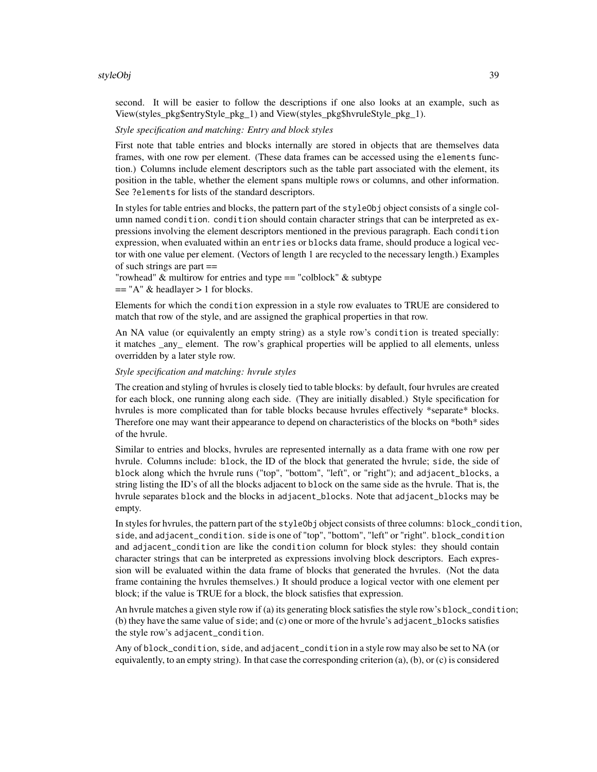#### styleObj 39

second. It will be easier to follow the descriptions if one also looks at an example, such as View(styles\_pkg\$entryStyle\_pkg\_1) and View(styles\_pkg\$hvruleStyle\_pkg\_1).

#### *Style specification and matching: Entry and block styles*

First note that table entries and blocks internally are stored in objects that are themselves data frames, with one row per element. (These data frames can be accessed using the elements function.) Columns include element descriptors such as the table part associated with the element, its position in the table, whether the element spans multiple rows or columns, and other information. See ?elements for lists of the standard descriptors.

In styles for table entries and blocks, the pattern part of the styleObj object consists of a single column named condition. condition should contain character strings that can be interpreted as expressions involving the element descriptors mentioned in the previous paragraph. Each condition expression, when evaluated within an entries or blocks data frame, should produce a logical vector with one value per element. (Vectors of length 1 are recycled to the necessary length.) Examples of such strings are part ==

"rowhead" & multirow for entries and type == "colblock" & subtype  $==$  "A" & headlayer > 1 for blocks.

Elements for which the condition expression in a style row evaluates to TRUE are considered to match that row of the style, and are assigned the graphical properties in that row.

An NA value (or equivalently an empty string) as a style row's condition is treated specially: it matches any element. The row's graphical properties will be applied to all elements, unless overridden by a later style row.

#### *Style specification and matching: hvrule styles*

The creation and styling of hvrules is closely tied to table blocks: by default, four hvrules are created for each block, one running along each side. (They are initially disabled.) Style specification for hvrules is more complicated than for table blocks because hvrules effectively \*separate\* blocks. Therefore one may want their appearance to depend on characteristics of the blocks on \*both\* sides of the hvrule.

Similar to entries and blocks, hvrules are represented internally as a data frame with one row per hvrule. Columns include: block, the ID of the block that generated the hvrule; side, the side of block along which the hvrule runs ("top", "bottom", "left", or "right"); and adjacent\_blocks, a string listing the ID's of all the blocks adjacent to block on the same side as the hvrule. That is, the hvrule separates block and the blocks in adjacent\_blocks. Note that adjacent\_blocks may be empty.

In styles for hvrules, the pattern part of the styleObj object consists of three columns: block\_condition, side, and adjacent\_condition. side is one of "top", "bottom", "left" or "right". block\_condition and adjacent\_condition are like the condition column for block styles: they should contain character strings that can be interpreted as expressions involving block descriptors. Each expression will be evaluated within the data frame of blocks that generated the hvrules. (Not the data frame containing the hvrules themselves.) It should produce a logical vector with one element per block; if the value is TRUE for a block, the block satisfies that expression.

An hvrule matches a given style row if (a) its generating block satisfies the style row's block\_condition; (b) they have the same value of side; and (c) one or more of the hvrule's adjacent\_blocks satisfies the style row's adjacent\_condition.

Any of block\_condition, side, and adjacent\_condition in a style row may also be set to NA (or equivalently, to an empty string). In that case the corresponding criterion (a), (b), or (c) is considered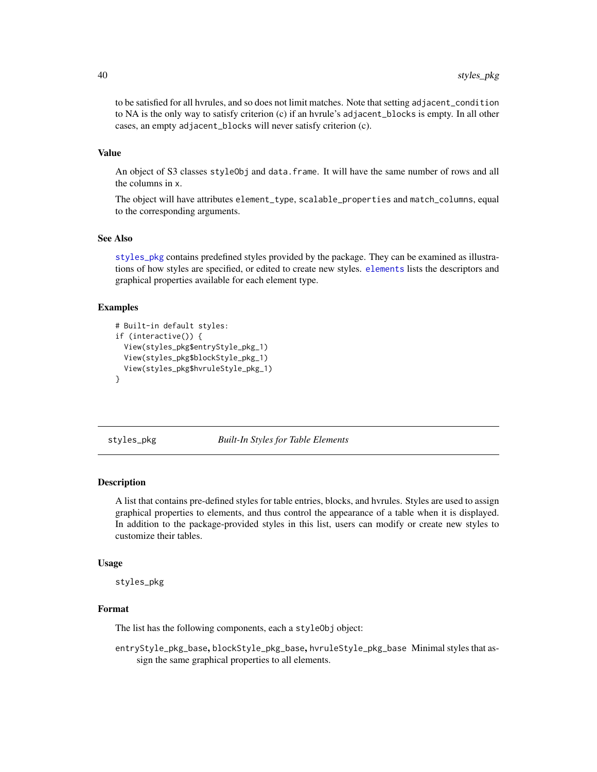<span id="page-39-0"></span>to be satisfied for all hvrules, and so does not limit matches. Note that setting adjacent\_condition to NA is the only way to satisfy criterion (c) if an hvrule's adjacent\_blocks is empty. In all other cases, an empty adjacent\_blocks will never satisfy criterion (c).

#### Value

An object of S3 classes styleObj and data.frame. It will have the same number of rows and all the columns in x.

The object will have attributes element\_type, scalable\_properties and match\_columns, equal to the corresponding arguments.

#### See Also

[styles\\_pkg](#page-39-1) contains predefined styles provided by the package. They can be examined as illustrations of how styles are specified, or edited to create new styles. [elements](#page-11-1) lists the descriptors and graphical properties available for each element type.

#### Examples

```
# Built-in default styles:
if (interactive()) {
 View(styles_pkg$entryStyle_pkg_1)
 View(styles_pkg$blockStyle_pkg_1)
 View(styles_pkg$hvruleStyle_pkg_1)
}
```
<span id="page-39-1"></span>styles\_pkg *Built-In Styles for Table Elements*

#### **Description**

A list that contains pre-defined styles for table entries, blocks, and hvrules. Styles are used to assign graphical properties to elements, and thus control the appearance of a table when it is displayed. In addition to the package-provided styles in this list, users can modify or create new styles to customize their tables.

#### Usage

styles\_pkg

#### Format

The list has the following components, each a styleObj object:

entryStyle\_pkg\_base, blockStyle\_pkg\_base, hvruleStyle\_pkg\_base Minimal styles that assign the same graphical properties to all elements.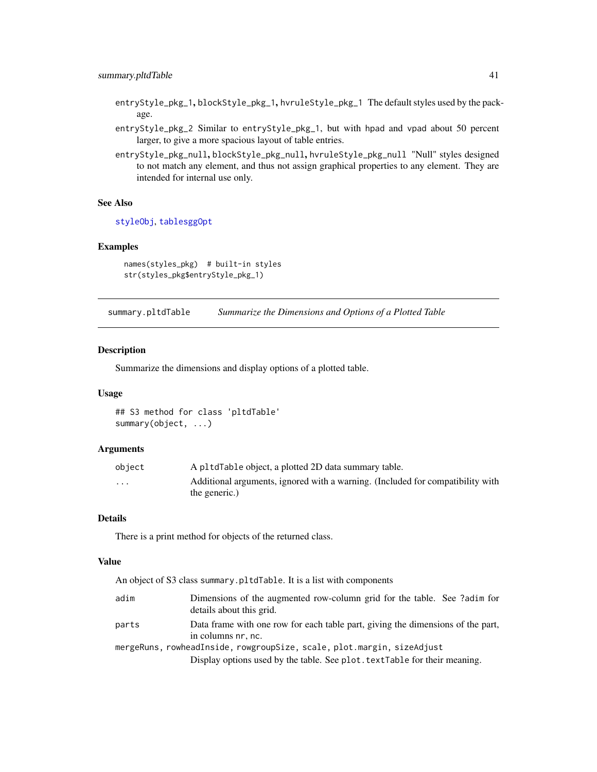- <span id="page-40-0"></span>entryStyle\_pkg\_1, blockStyle\_pkg\_1, hvruleStyle\_pkg\_1 The default styles used by the package.
- entryStyle\_pkg\_2 Similar to entryStyle\_pkg\_1, but with hpad and vpad about 50 percent larger, to give a more spacious layout of table entries.
- entryStyle\_pkg\_null, blockStyle\_pkg\_null, hvruleStyle\_pkg\_null "Null" styles designed to not match any element, and thus not assign graphical properties to any element. They are intended for internal use only.

#### See Also

[styleObj](#page-37-1), [tablesggOpt](#page-42-1)

#### Examples

```
names(styles_pkg) # built-in styles
str(styles_pkg$entryStyle_pkg_1)
```
<span id="page-40-1"></span>summary.pltdTable *Summarize the Dimensions and Options of a Plotted Table*

#### Description

Summarize the dimensions and display options of a plotted table.

#### Usage

## S3 method for class 'pltdTable' summary(object, ...)

#### Arguments

| object                  | A pltdTable object, a plotted 2D data summary table.                                            |
|-------------------------|-------------------------------------------------------------------------------------------------|
| $\cdot$ $\cdot$ $\cdot$ | Additional arguments, ignored with a warning. (Included for compatibility with<br>the generic.) |

#### Details

There is a print method for objects of the returned class.

#### Value

|       | An object of S3 class summary.pltdTable. It is a list with components                                 |
|-------|-------------------------------------------------------------------------------------------------------|
| adim  | Dimensions of the augmented row-column grid for the table. See ?adim for<br>details about this grid.  |
| parts | Data frame with one row for each table part, giving the dimensions of the part,<br>in columns nr, nc. |
|       | mergeRuns, rowheadInside, rowgroupSize, scale, plot.margin, sizeAdjust                                |
|       | Display options used by the table. See plot. text Table for their meaning.                            |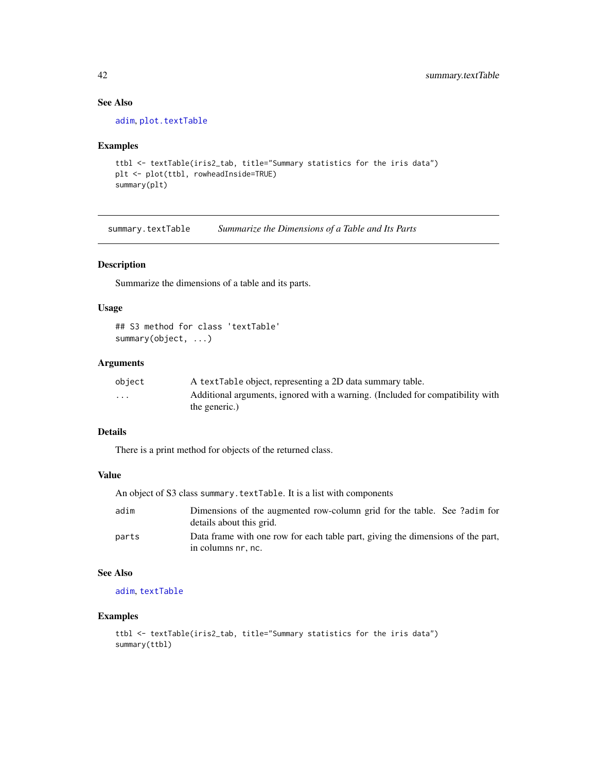### See Also

[adim](#page-8-1), [plot.textTable](#page-26-1)

#### Examples

```
ttbl <- textTable(iris2_tab, title="Summary statistics for the iris data")
plt <- plot(ttbl, rowheadInside=TRUE)
summary(plt)
```
<span id="page-41-1"></span>summary.textTable *Summarize the Dimensions of a Table and Its Parts*

#### Description

Summarize the dimensions of a table and its parts.

#### Usage

```
## S3 method for class 'textTable'
summary(object, ...)
```
#### Arguments

| object   | A text Table object, representing a 2D data summary table.                     |
|----------|--------------------------------------------------------------------------------|
| $\cdots$ | Additional arguments, ignored with a warning. (Included for compatibility with |
|          | the generic.)                                                                  |

#### Details

There is a print method for objects of the returned class.

#### Value

|  | An object of S3 class summary.textTable. It is a list with components |  |  |
|--|-----------------------------------------------------------------------|--|--|
|--|-----------------------------------------------------------------------|--|--|

| adim  | Dimensions of the augmented row-column grid for the table. See ?adim for                              |
|-------|-------------------------------------------------------------------------------------------------------|
|       | details about this grid.                                                                              |
| parts | Data frame with one row for each table part, giving the dimensions of the part,<br>in columns nr, nc. |

#### See Also

[adim](#page-8-1), [textTable](#page-44-1)

```
ttbl <- textTable(iris2_tab, title="Summary statistics for the iris data")
summary(ttbl)
```
<span id="page-41-0"></span>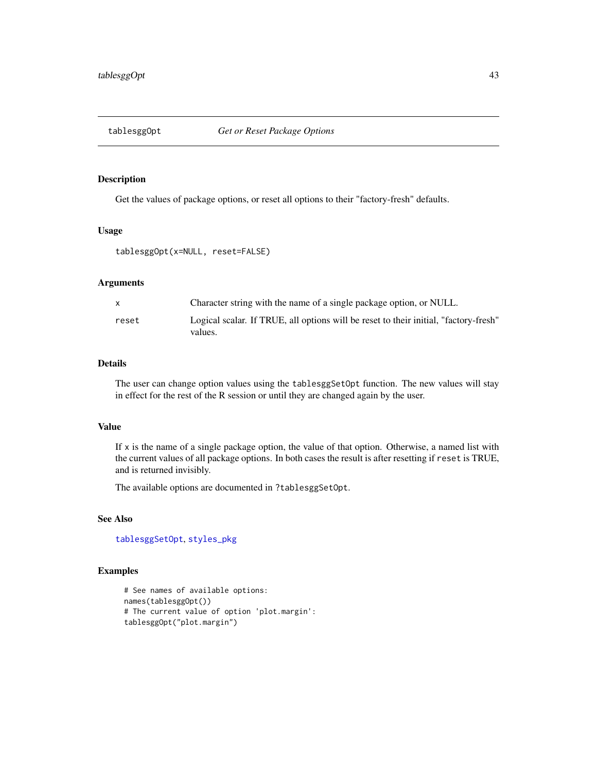<span id="page-42-1"></span><span id="page-42-0"></span>

#### Description

Get the values of package options, or reset all options to their "factory-fresh" defaults.

#### Usage

```
tablesggOpt(x=NULL, reset=FALSE)
```
#### Arguments

| X     | Character string with the name of a single package option, or NULL.                             |
|-------|-------------------------------------------------------------------------------------------------|
| reset | Logical scalar. If TRUE, all options will be reset to their initial, "factory-fresh"<br>values. |

#### Details

The user can change option values using the tablesggSetOpt function. The new values will stay in effect for the rest of the R session or until they are changed again by the user.

#### Value

If  $x$  is the name of a single package option, the value of that option. Otherwise, a named list with the current values of all package options. In both cases the result is after resetting if reset is TRUE, and is returned invisibly.

The available options are documented in ?tablesggSetOpt.

#### See Also

[tablesggSetOpt](#page-43-1), [styles\\_pkg](#page-39-1)

```
# See names of available options:
names(tablesggOpt())
# The current value of option 'plot.margin':
tablesggOpt("plot.margin")
```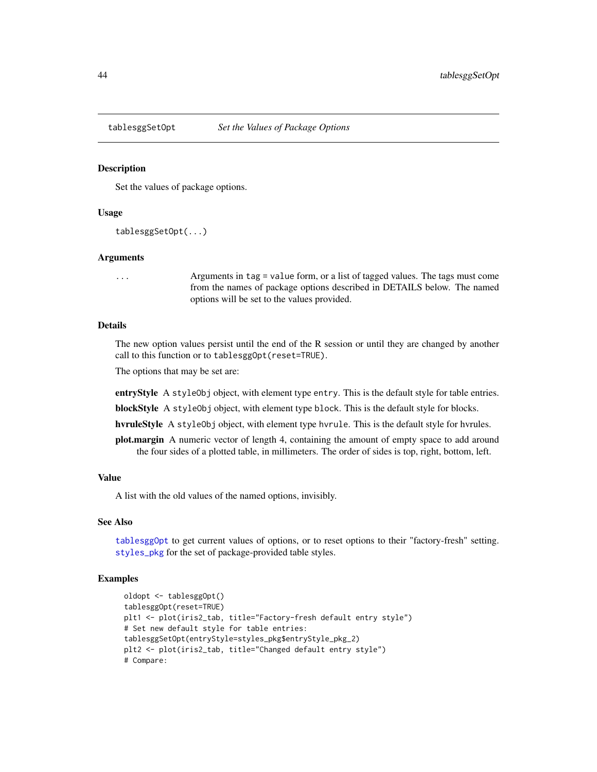<span id="page-43-1"></span><span id="page-43-0"></span>

#### **Description**

Set the values of package options.

#### Usage

```
tablesggSetOpt(...)
```
#### Arguments

... Arguments in tag = value form, or a list of tagged values. The tags must come from the names of package options described in DETAILS below. The named options will be set to the values provided.

#### Details

The new option values persist until the end of the R session or until they are changed by another call to this function or to tablesggOpt(reset=TRUE).

The options that may be set are:

entryStyle A styleObj object, with element type entry. This is the default style for table entries.

blockStyle A styleObj object, with element type block. This is the default style for blocks.

hvruleStyle A styleObj object, with element type hvrule. This is the default style for hvrules.

plot.margin A numeric vector of length 4, containing the amount of empty space to add around the four sides of a plotted table, in millimeters. The order of sides is top, right, bottom, left.

#### Value

A list with the old values of the named options, invisibly.

#### See Also

[tablesggOpt](#page-42-1) to get current values of options, or to reset options to their "factory-fresh" setting. [styles\\_pkg](#page-39-1) for the set of package-provided table styles.

```
oldopt <- tablesggOpt()
tablesggOpt(reset=TRUE)
plt1 <- plot(iris2_tab, title="Factory-fresh default entry style")
# Set new default style for table entries:
tablesggSetOpt(entryStyle=styles_pkg$entryStyle_pkg_2)
plt2 <- plot(iris2_tab, title="Changed default entry style")
# Compare:
```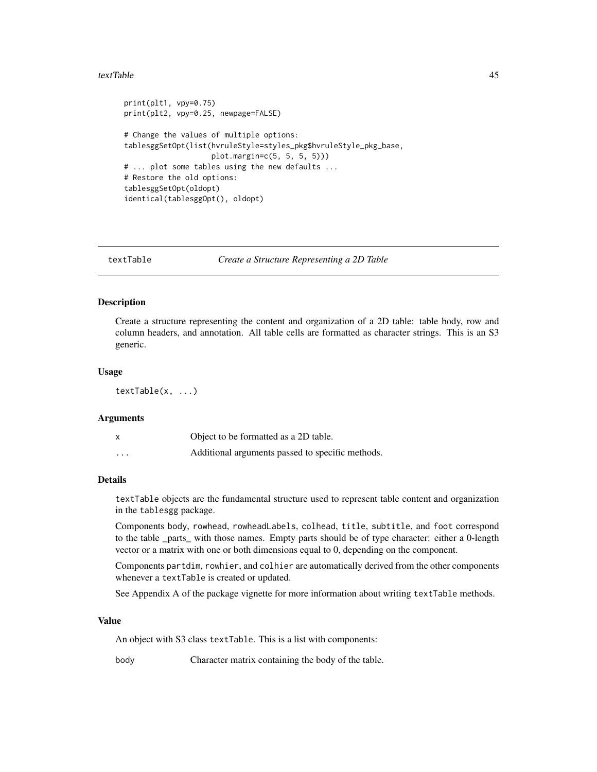#### <span id="page-44-0"></span>textTable 45

```
print(plt1, vpy=0.75)
print(plt2, vpy=0.25, newpage=FALSE)
# Change the values of multiple options:
tablesggSetOpt(list(hvruleStyle=styles_pkg$hvruleStyle_pkg_base,
                   plot.margin=c(5, 5, 5, 5)))
# ... plot some tables using the new defaults ...
# Restore the old options:
tablesggSetOpt(oldopt)
identical(tablesggOpt(), oldopt)
```
<span id="page-44-1"></span>textTable *Create a Structure Representing a 2D Table*

#### Description

Create a structure representing the content and organization of a 2D table: table body, row and column headers, and annotation. All table cells are formatted as character strings. This is an S3 generic.

#### Usage

textTable(x, ...)

#### Arguments

|          | Object to be formatted as a 2D table.            |
|----------|--------------------------------------------------|
| $\cdots$ | Additional arguments passed to specific methods. |

#### Details

textTable objects are the fundamental structure used to represent table content and organization in the tablesgg package.

Components body, rowhead, rowheadLabels, colhead, title, subtitle, and foot correspond to the table parts with those names. Empty parts should be of type character: either a 0-length vector or a matrix with one or both dimensions equal to 0, depending on the component.

Components partdim, rowhier, and colhier are automatically derived from the other components whenever a textTable is created or updated.

See Appendix A of the package vignette for more information about writing textTable methods.

#### Value

An object with S3 class textTable. This is a list with components:

body Character matrix containing the body of the table.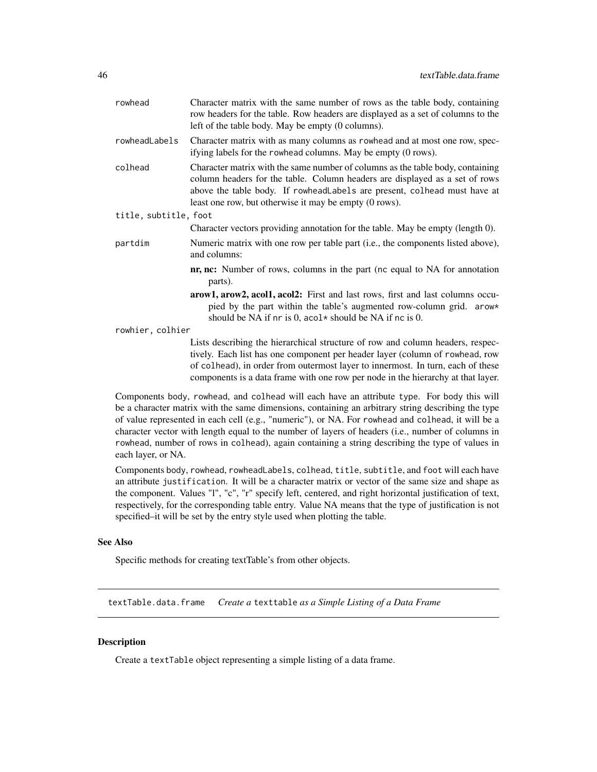<span id="page-45-0"></span>

| rowhead               | Character matrix with the same number of rows as the table body, containing<br>row headers for the table. Row headers are displayed as a set of columns to the<br>left of the table body. May be empty (0 columns).                                                                                 |
|-----------------------|-----------------------------------------------------------------------------------------------------------------------------------------------------------------------------------------------------------------------------------------------------------------------------------------------------|
| rowheadLabels         | Character matrix with as many columns as rowhead and at most one row, spec-<br>ifying labels for the rowhead columns. May be empty (0 rows).                                                                                                                                                        |
| colhead               | Character matrix with the same number of columns as the table body, containing<br>column headers for the table. Column headers are displayed as a set of rows<br>above the table body. If rowheadLabels are present, colhead must have at<br>least one row, but otherwise it may be empty (0 rows). |
| title, subtitle, foot |                                                                                                                                                                                                                                                                                                     |
|                       | Character vectors providing annotation for the table. May be empty (length 0).                                                                                                                                                                                                                      |
| partdim               | Numeric matrix with one row per table part (i.e., the components listed above),<br>and columns:                                                                                                                                                                                                     |
|                       | <b>nr, nc:</b> Number of rows, columns in the part (nc equal to NA for annotation<br>parts).                                                                                                                                                                                                        |
|                       | arow1, arow2, acol1, acol2: First and last rows, first and last columns occu-<br>pied by the part within the table's augmented row-column grid. arow*<br>should be NA if nr is 0, acol* should be NA if nc is 0.                                                                                    |
| rowhier, colhier      |                                                                                                                                                                                                                                                                                                     |
|                       | Lists describing the hierarchical structure of row and column headers, respec-<br>tively. Each list has one component per header layer (column of rowhead, row<br>of colhead), in order from outermost layer to innermost. In turn, each of these                                                   |

Components body, rowhead, and colhead will each have an attribute type. For body this will be a character matrix with the same dimensions, containing an arbitrary string describing the type of value represented in each cell (e.g., "numeric"), or NA. For rowhead and colhead, it will be a character vector with length equal to the number of layers of headers (i.e., number of columns in rowhead, number of rows in colhead), again containing a string describing the type of values in each layer, or NA.

components is a data frame with one row per node in the hierarchy at that layer.

Components body, rowhead, rowheadLabels, colhead, title, subtitle, and foot will each have an attribute justification. It will be a character matrix or vector of the same size and shape as the component. Values "l", "c", "r" specify left, centered, and right horizontal justification of text, respectively, for the corresponding table entry. Value NA means that the type of justification is not specified–it will be set by the entry style used when plotting the table.

#### See Also

Specific methods for creating textTable's from other objects.

textTable.data.frame *Create a* texttable *as a Simple Listing of a Data Frame*

#### Description

Create a textTable object representing a simple listing of a data frame.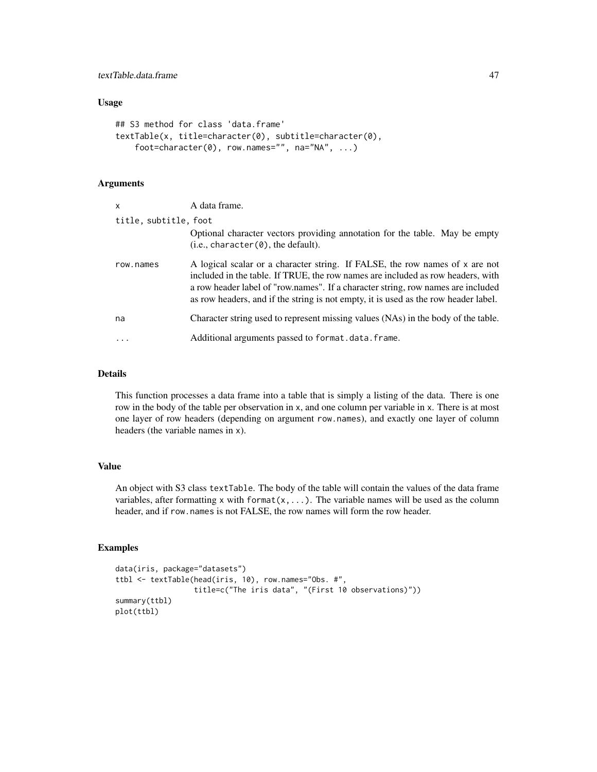#### Usage

```
## S3 method for class 'data.frame'
textTable(x, title=character(0), subtitle=character(0),
    foot=character(0), row.names="", na="NA", ...)
```
#### Arguments

| $\mathsf{x}$          | A data frame.                                                                                                                                                                                                                                                                                                                              |
|-----------------------|--------------------------------------------------------------------------------------------------------------------------------------------------------------------------------------------------------------------------------------------------------------------------------------------------------------------------------------------|
| title, subtitle, foot |                                                                                                                                                                                                                                                                                                                                            |
|                       | Optional character vectors providing annotation for the table. May be empty<br>(i.e., character(0), the default).                                                                                                                                                                                                                          |
| row.names             | A logical scalar or a character string. If FALSE, the row names of x are not<br>included in the table. If TRUE, the row names are included as row headers, with<br>a row header label of "row.names". If a character string, row names are included<br>as row headers, and if the string is not empty, it is used as the row header label. |
| na                    | Character string used to represent missing values (NAs) in the body of the table.                                                                                                                                                                                                                                                          |
| $\ddotsc$             | Additional arguments passed to format.data.frame.                                                                                                                                                                                                                                                                                          |

#### Details

This function processes a data frame into a table that is simply a listing of the data. There is one row in the body of the table per observation in x, and one column per variable in x. There is at most one layer of row headers (depending on argument row.names), and exactly one layer of column headers (the variable names in x).

#### Value

An object with S3 class textTable. The body of the table will contain the values of the data frame variables, after formatting x with format( $x, \ldots$ ). The variable names will be used as the column header, and if row.names is not FALSE, the row names will form the row header.

```
data(iris, package="datasets")
ttbl <- textTable(head(iris, 10), row.names="Obs. #",
                  title=c("The iris data", "(First 10 observations)"))
summary(ttbl)
plot(ttbl)
```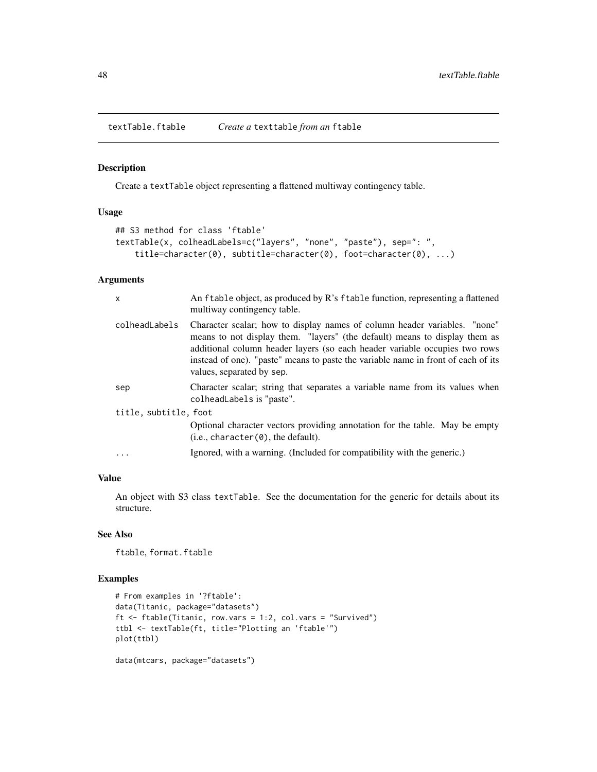<span id="page-47-0"></span>textTable.ftable *Create a* texttable *from an* ftable

#### Description

Create a textTable object representing a flattened multiway contingency table.

#### Usage

```
## S3 method for class 'ftable'
textTable(x, colheadLabels=c("layers", "none", "paste"), sep=": ",
    title=character(0), subtitle=character(0), foot=character(0), ...)
```
#### Arguments

| X                     | An ftable object, as produced by R's ftable function, representing a flattened<br>multiway contingency table.                                                                                                                                                                                                                                           |
|-----------------------|---------------------------------------------------------------------------------------------------------------------------------------------------------------------------------------------------------------------------------------------------------------------------------------------------------------------------------------------------------|
| colheadLabels         | Character scalar; how to display names of column header variables. "none"<br>means to not display them. "layers" (the default) means to display them as<br>additional column header layers (so each header variable occupies two rows<br>instead of one). "paste" means to paste the variable name in front of each of its<br>values, separated by sep. |
| sep                   | Character scalar; string that separates a variable name from its values when<br>colheadLabels is "paste".                                                                                                                                                                                                                                               |
| title, subtitle, foot |                                                                                                                                                                                                                                                                                                                                                         |
|                       | Optional character vectors providing annotation for the table. May be empty<br>(i.e., character(0), the default).                                                                                                                                                                                                                                       |
|                       | Ignored, with a warning. (Included for compatibility with the generic.)                                                                                                                                                                                                                                                                                 |
|                       |                                                                                                                                                                                                                                                                                                                                                         |

#### Value

An object with S3 class textTable. See the documentation for the generic for details about its structure.

#### See Also

ftable, format.ftable

```
# From examples in '?ftable':
data(Titanic, package="datasets")
ft <- ftable(Titanic, row.vars = 1:2, col.vars = "Survived")
ttbl <- textTable(ft, title="Plotting an 'ftable'")
plot(ttbl)
data(mtcars, package="datasets")
```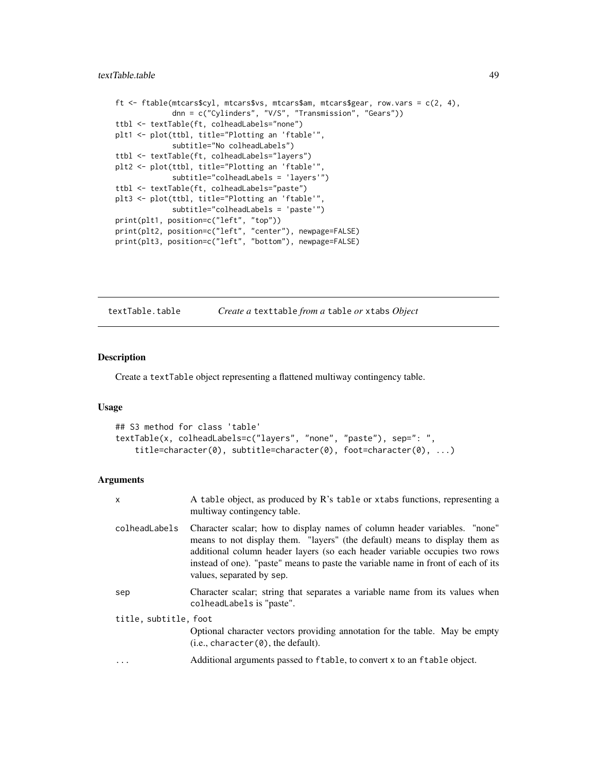```
ft \le ftable(mtcars$cyl, mtcars$vs, mtcars$am, mtcars$gear, row.vars = c(2, 4),
             dnn = c("Cylinders", "V/S", "Transmission", "Gears"))
ttbl <- textTable(ft, colheadLabels="none")
plt1 <- plot(ttbl, title="Plotting an 'ftable'",
             subtitle="No colheadLabels")
ttbl <- textTable(ft, colheadLabels="layers")
plt2 <- plot(ttbl, title="Plotting an 'ftable'",
             subtitle="colheadLabels = 'layers'")
ttbl <- textTable(ft, colheadLabels="paste")
plt3 <- plot(ttbl, title="Plotting an 'ftable'",
             subtitle="colheadLabels = 'paste'")
print(plt1, position=c("left", "top"))
print(plt2, position=c("left", "center"), newpage=FALSE)
print(plt3, position=c("left", "bottom"), newpage=FALSE)
```
textTable.table *Create a* texttable *from a* table *or* xtabs *Object*

#### Description

Create a textTable object representing a flattened multiway contingency table.

#### Usage

```
## S3 method for class 'table'
textTable(x, colheadLabels=c("layers", "none", "paste"), sep=": ",
    title=character(0), subtitle=character(0), foot=character(0), ...)
```
#### Arguments

| $\mathsf{x}$          | A table object, as produced by R's table or xtabs functions, representing a<br>multiway contingency table.                                                                                                                                                                                                                                              |
|-----------------------|---------------------------------------------------------------------------------------------------------------------------------------------------------------------------------------------------------------------------------------------------------------------------------------------------------------------------------------------------------|
| colheadLabels         | Character scalar; how to display names of column header variables. "none"<br>means to not display them. "layers" (the default) means to display them as<br>additional column header layers (so each header variable occupies two rows<br>instead of one). "paste" means to paste the variable name in front of each of its<br>values, separated by sep. |
| sep                   | Character scalar; string that separates a variable name from its values when<br>colheadLabels is "paste".                                                                                                                                                                                                                                               |
| title, subtitle, foot |                                                                                                                                                                                                                                                                                                                                                         |
|                       | Optional character vectors providing annotation for the table. May be empty<br>(i.e., character(0), the default).                                                                                                                                                                                                                                       |
|                       | Additional arguments passed to ftable, to convert x to an ftable object.                                                                                                                                                                                                                                                                                |
|                       |                                                                                                                                                                                                                                                                                                                                                         |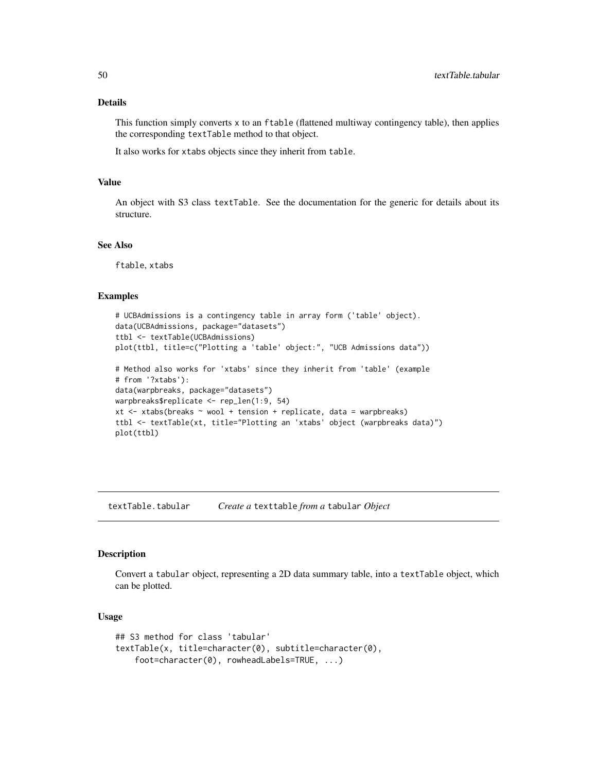#### <span id="page-49-0"></span>Details

This function simply converts x to an ftable (flattened multiway contingency table), then applies the corresponding textTable method to that object.

It also works for xtabs objects since they inherit from table.

#### Value

An object with S3 class textTable. See the documentation for the generic for details about its structure.

#### See Also

ftable, xtabs

#### Examples

```
# UCBAdmissions is a contingency table in array form ('table' object).
data(UCBAdmissions, package="datasets")
ttbl <- textTable(UCBAdmissions)
plot(ttbl, title=c("Plotting a 'table' object:", "UCB Admissions data"))
# Method also works for 'xtabs' since they inherit from 'table' (example
# from '?xtabs'):
data(warpbreaks, package="datasets")
warpbreaks$replicate <- rep_len(1:9, 54)
xt <- xtabs(breaks ~ wool + tension + replicate, data = warpbreaks)
ttbl <- textTable(xt, title="Plotting an 'xtabs' object (warpbreaks data)")
plot(ttbl)
```
<span id="page-49-1"></span>textTable.tabular *Create a* texttable *from a* tabular *Object*

#### Description

Convert a tabular object, representing a 2D data summary table, into a textTable object, which can be plotted.

#### Usage

```
## S3 method for class 'tabular'
textTable(x, title=character(0), subtitle=character(0),
    foot=character(0), rowheadLabels=TRUE, ...)
```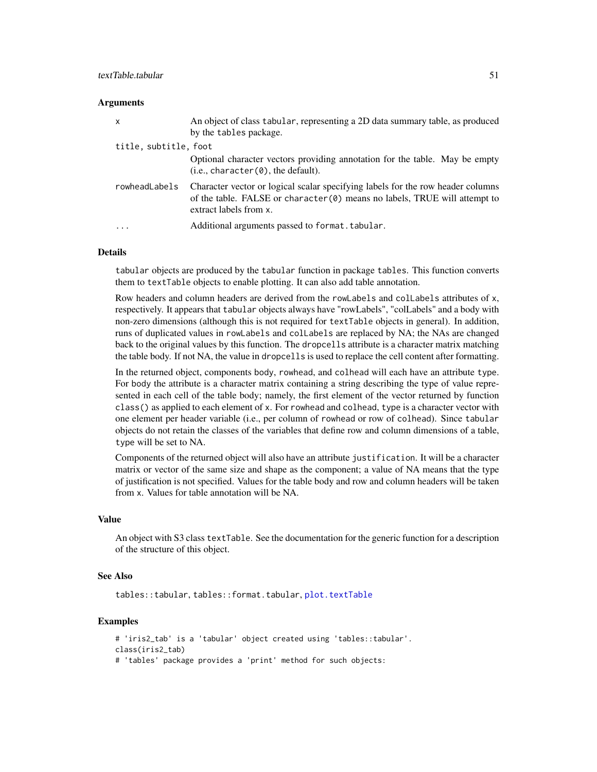#### <span id="page-50-0"></span>**Arguments**

| $\mathsf{x}$          | An object of class tabular, representing a 2D data summary table, as produced<br>by the tables package.                                                                                   |
|-----------------------|-------------------------------------------------------------------------------------------------------------------------------------------------------------------------------------------|
| title, subtitle, foot |                                                                                                                                                                                           |
|                       | Optional character vectors providing annotation for the table. May be empty<br>(i.e., character(0), the default).                                                                         |
| rowheadLabels         | Character vector or logical scalar specifying labels for the row header columns<br>of the table. FALSE or character $(0)$ means no labels, TRUE will attempt to<br>extract labels from x. |
| $\ddotsc$             | Additional arguments passed to format.tabular.                                                                                                                                            |

#### Details

tabular objects are produced by the tabular function in package tables. This function converts them to textTable objects to enable plotting. It can also add table annotation.

Row headers and column headers are derived from the rowLabels and colLabels attributes of x, respectively. It appears that tabular objects always have "rowLabels", "colLabels" and a body with non-zero dimensions (although this is not required for textTable objects in general). In addition, runs of duplicated values in rowLabels and colLabels are replaced by NA; the NAs are changed back to the original values by this function. The dropcells attribute is a character matrix matching the table body. If not NA, the value in dropcells is used to replace the cell content after formatting.

In the returned object, components body, rowhead, and colhead will each have an attribute type. For body the attribute is a character matrix containing a string describing the type of value represented in each cell of the table body; namely, the first element of the vector returned by function class() as applied to each element of x. For rowhead and colhead, type is a character vector with one element per header variable (i.e., per column of rowhead or row of colhead). Since tabular objects do not retain the classes of the variables that define row and column dimensions of a table, type will be set to NA.

Components of the returned object will also have an attribute justification. It will be a character matrix or vector of the same size and shape as the component; a value of NA means that the type of justification is not specified. Values for the table body and row and column headers will be taken from x. Values for table annotation will be NA.

#### Value

An object with S3 class textTable. See the documentation for the generic function for a description of the structure of this object.

#### See Also

tables::tabular, tables::format.tabular, [plot.textTable](#page-26-1)

```
# 'iris2_tab' is a 'tabular' object created using 'tables::tabular'.
class(iris2_tab)
# 'tables' package provides a 'print' method for such objects:
```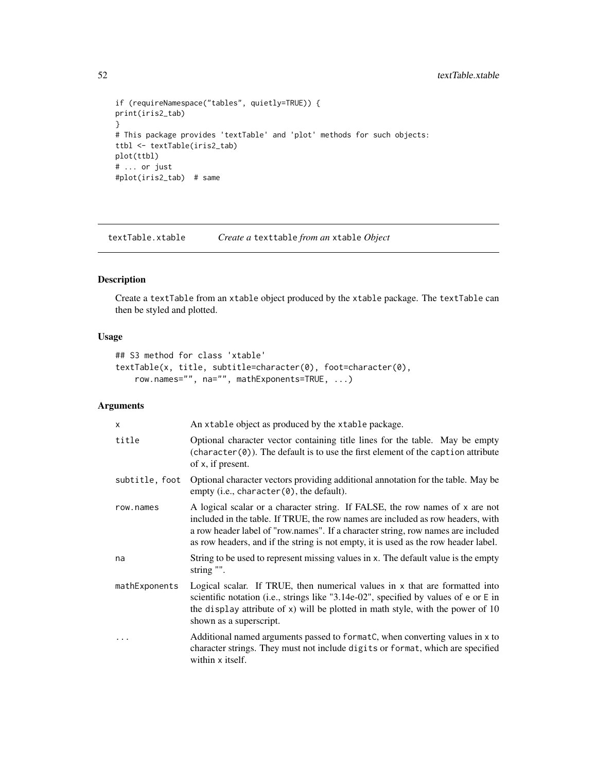```
if (requireNamespace("tables", quietly=TRUE)) {
print(iris2_tab)
}
# This package provides 'textTable' and 'plot' methods for such objects:
ttbl <- textTable(iris2_tab)
plot(ttbl)
# ... or just
#plot(iris2_tab) # same
```
textTable.xtable *Create a* texttable *from an* xtable *Object*

#### Description

Create a textTable from an xtable object produced by the xtable package. The textTable can then be styled and plotted.

#### Usage

```
## S3 method for class 'xtable'
textTable(x, title, subtitle=character(0), foot=character(0),
    row.names="", na="", mathExponents=TRUE, ...)
```
#### Arguments

| X              | An xtable object as produced by the xtable package.                                                                                                                                                                                                                                                                                        |
|----------------|--------------------------------------------------------------------------------------------------------------------------------------------------------------------------------------------------------------------------------------------------------------------------------------------------------------------------------------------|
| title          | Optional character vector containing title lines for the table. May be empty<br>$(character(0))$ . The default is to use the first element of the caption attribute<br>of x, if present.                                                                                                                                                   |
| subtitle, foot | Optional character vectors providing additional annotation for the table. May be<br>empty (i.e., character(0), the default).                                                                                                                                                                                                               |
| row.names      | A logical scalar or a character string. If FALSE, the row names of x are not<br>included in the table. If TRUE, the row names are included as row headers, with<br>a row header label of "row.names". If a character string, row names are included<br>as row headers, and if the string is not empty, it is used as the row header label. |
| na             | String to be used to represent missing values in x. The default value is the empty<br>string "".                                                                                                                                                                                                                                           |
| mathExponents  | Logical scalar. If TRUE, then numerical values in x that are formatted into<br>scientific notation (i.e., strings like "3.14e-02", specified by values of e or E in<br>the display attribute of $x$ ) will be plotted in math style, with the power of 10<br>shown as a superscript.                                                       |
|                | Additional named arguments passed to formatC, when converting values in x to<br>character strings. They must not include digits or format, which are specified<br>within x itself.                                                                                                                                                         |

<span id="page-51-0"></span>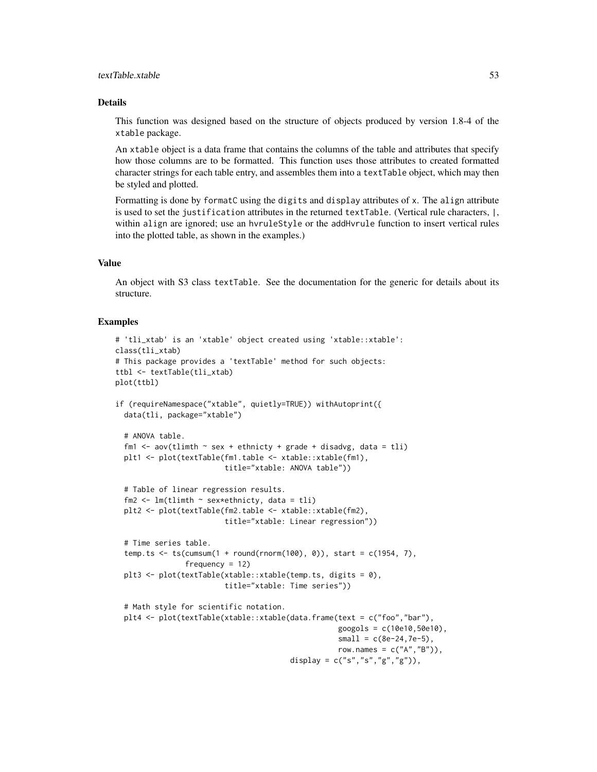#### textTable.xtable 53

#### Details

This function was designed based on the structure of objects produced by version 1.8-4 of the xtable package.

An xtable object is a data frame that contains the columns of the table and attributes that specify how those columns are to be formatted. This function uses those attributes to created formatted character strings for each table entry, and assembles them into a textTable object, which may then be styled and plotted.

Formatting is done by formatC using the digits and display attributes of x. The align attribute is used to set the justification attributes in the returned textTable. (Vertical rule characters, |, within align are ignored; use an hvruleStyle or the addHvrule function to insert vertical rules into the plotted table, as shown in the examples.)

#### Value

An object with S3 class textTable. See the documentation for the generic for details about its structure.

```
# 'tli_xtab' is an 'xtable' object created using 'xtable::xtable':
class(tli_xtab)
# This package provides a 'textTable' method for such objects:
ttbl <- textTable(tli_xtab)
plot(ttbl)
if (requireNamespace("xtable", quietly=TRUE)) withAutoprint({
 data(tli, package="xtable")
 # ANOVA table.
 fm1 <- aov(tlimth \sim sex + ethnicty + grade + disadvg, data = tli)
 plt1 <- plot(textTable(fm1.table <- xtable::xtable(fm1),
                         title="xtable: ANOVA table"))
 # Table of linear regression results.
 fm2 <- lm(tlimth \sim sex*ethnicty, data = tli)plt2 <- plot(textTable(fm2.table <- xtable::xtable(fm2),
                         title="xtable: Linear regression"))
 # Time series table.
 temp.ts \le ts(cumsum(1 + round(rnorm(100), 0)), start = c(1954, 7),
                frequency = 12plt3 <- plot(textTable(xtable::xtable(temp.ts, digits = 0),
                         title="xtable: Time series"))
 # Math style for scientific notation.
 plt4 <- plot(textTable(xtable::xtable(data.frame(text = c("foo","bar"),
                                                   googols = c(10e10,50e10),
                                                   small = c(8e-24, 7e-5),
                                                   row.names = c("A", "B"),
                                        display = c("s", "s", "g", "g"),
```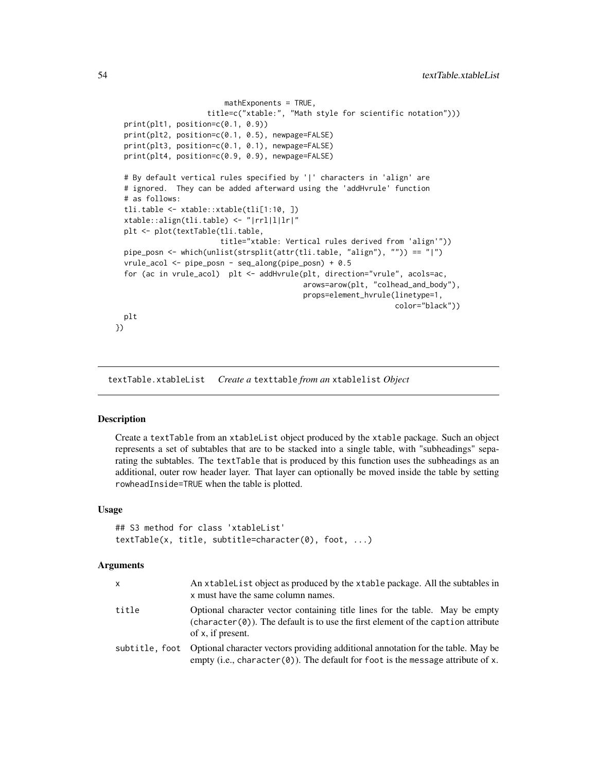```
mathExponents = TRUE,
                     title=c("xtable:", "Math style for scientific notation")))
 print(plt1, position=c(0.1, 0.9))
 print(plt2, position=c(0.1, 0.5), newpage=FALSE)
 print(plt3, position=c(0.1, 0.1), newpage=FALSE)
 print(plt4, position=c(0.9, 0.9), newpage=FALSE)
 # By default vertical rules specified by '|' characters in 'align' are
 # ignored. They can be added afterward using the 'addHvrule' function
 # as follows:
 tli.table <- xtable::xtable(tli[1:10, ])
 xtable::align(tli.table) <- "|rrl|l|lr|"
 plt <- plot(textTable(tli.table,
                        title="xtable: Vertical rules derived from 'align'"))
 pipe_posn <- which(unlist(strsplit(attr(tli.table, "align"), "")) == "|")
 vrule_acol <- pipe_posn - seq_along(pipe_posn) + 0.5
 for (ac in vrule_acol) plt <- addHvrule(plt, direction="vrule", acols=ac,
                                           arows=arow(plt, "colhead_and_body"),
                                           props=element_hvrule(linetype=1,
                                                                color="black"))
 plt
})
```
textTable.xtableList *Create a* texttable *from an* xtablelist *Object*

#### Description

Create a textTable from an xtableList object produced by the xtable package. Such an object represents a set of subtables that are to be stacked into a single table, with "subheadings" separating the subtables. The textTable that is produced by this function uses the subheadings as an additional, outer row header layer. That layer can optionally be moved inside the table by setting rowheadInside=TRUE when the table is plotted.

#### Usage

```
## S3 method for class 'xtableList'
textTable(x, title, subtitle=character(0), foot, ...)
```
#### **Arguments**

| X.    | An xtable List object as produced by the xtable package. All the subtables in<br>x must have the same column names.                                                                      |
|-------|------------------------------------------------------------------------------------------------------------------------------------------------------------------------------------------|
| title | Optional character vector containing title lines for the table. May be empty<br>$(character(0))$ . The default is to use the first element of the caption attribute<br>of x, if present. |
|       | subtitle, foot Optional character vectors providing additional annotation for the table. May be<br>empty (i.e., character $(0)$ ). The default for foot is the message attribute of x.   |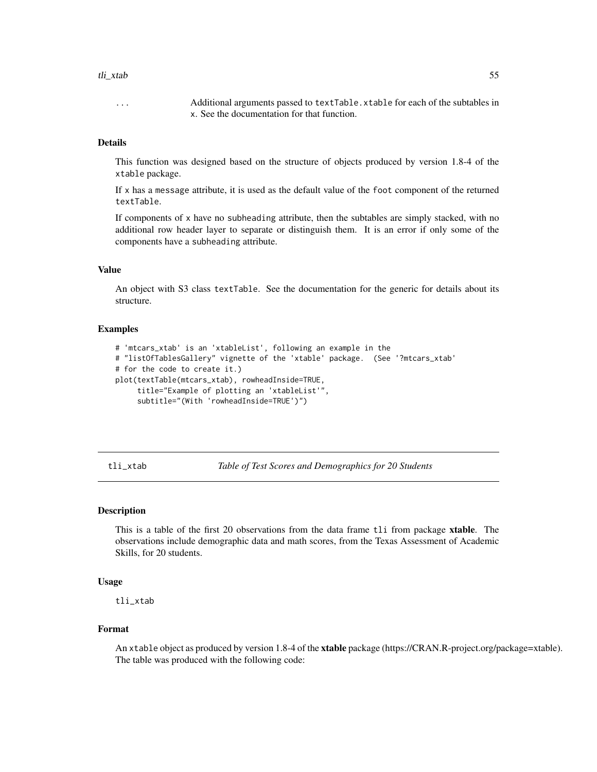#### <span id="page-54-0"></span>tli\_xtab 55

... Additional arguments passed to textTable.xtable for each of the subtables in x. See the documentation for that function.

#### **Details**

This function was designed based on the structure of objects produced by version 1.8-4 of the xtable package.

If x has a message attribute, it is used as the default value of the foot component of the returned textTable.

If components of  $x$  have no subheading attribute, then the subtables are simply stacked, with no additional row header layer to separate or distinguish them. It is an error if only some of the components have a subheading attribute.

#### Value

An object with S3 class textTable. See the documentation for the generic for details about its structure.

#### Examples

```
# 'mtcars_xtab' is an 'xtableList', following an example in the
# "listOfTablesGallery" vignette of the 'xtable' package. (See '?mtcars_xtab'
# for the code to create it.)
plot(textTable(mtcars_xtab), rowheadInside=TRUE,
     title="Example of plotting an 'xtableList'",
     subtitle="(With 'rowheadInside=TRUE')")
```
tli\_xtab *Table of Test Scores and Demographics for 20 Students*

#### Description

This is a table of the first 20 observations from the data frame tli from package **xtable**. The observations include demographic data and math scores, from the Texas Assessment of Academic Skills, for 20 students.

#### Usage

tli\_xtab

#### Format

An xtable object as produced by version 1.8-4 of the xtable package (https://CRAN.R-project.org/package=xtable). The table was produced with the following code: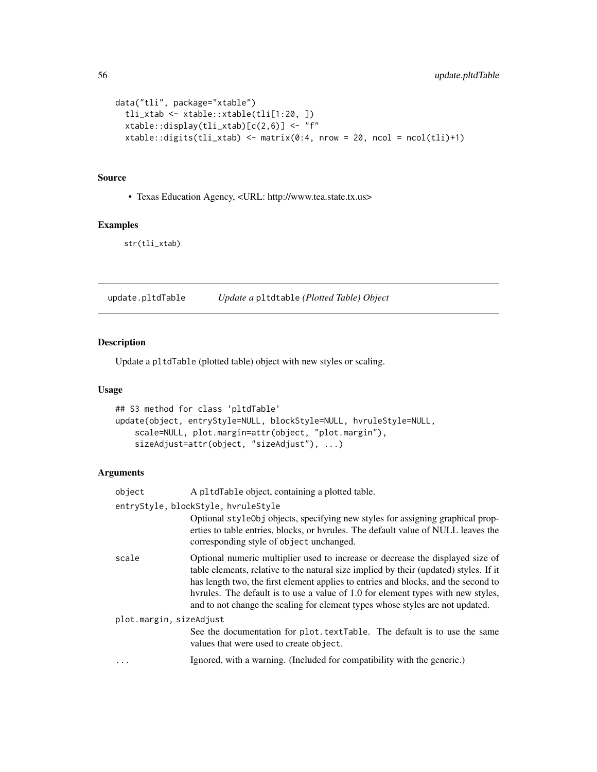```
data("tli", package="xtable")
  tli_xtab <- xtable::xtable(tli[1:20, ])
 xtable::display(tli_xtab)[c(2,6)] <- "f"
 xtable::digits(tli_xtab) < - matrix(0:4, nrow = 20, ncol = ncol(tli)+1)
```
#### Source

• Texas Education Agency, <URL: http://www.tea.state.tx.us>

### Examples

str(tli\_xtab)

<span id="page-55-1"></span>update.pltdTable *Update a* pltdtable *(Plotted Table) Object*

#### Description

Update a pltdTable (plotted table) object with new styles or scaling.

#### Usage

```
## S3 method for class 'pltdTable'
update(object, entryStyle=NULL, blockStyle=NULL, hvruleStyle=NULL,
    scale=NULL, plot.margin=attr(object, "plot.margin"),
    sizeAdjust=attr(object, "sizeAdjust"), ...)
```
### Arguments

| object                  | A pltdTable object, containing a plotted table.                                                                                                                                                                                                                                                                                                                                                                                    |  |
|-------------------------|------------------------------------------------------------------------------------------------------------------------------------------------------------------------------------------------------------------------------------------------------------------------------------------------------------------------------------------------------------------------------------------------------------------------------------|--|
|                         | entryStyle, blockStyle, hvruleStyle                                                                                                                                                                                                                                                                                                                                                                                                |  |
|                         | Optional style Obj objects, specifying new styles for assigning graphical prop-<br>erties to table entries, blocks, or hyrules. The default value of NULL leaves the<br>corresponding style of object unchanged.                                                                                                                                                                                                                   |  |
| scale                   | Optional numeric multiplier used to increase or decrease the displayed size of<br>table elements, relative to the natural size implied by their (updated) styles. If it<br>has length two, the first element applies to entries and blocks, and the second to<br>hyrules. The default is to use a value of 1.0 for element types with new styles,<br>and to not change the scaling for element types whose styles are not updated. |  |
| plot.margin, sizeAdjust |                                                                                                                                                                                                                                                                                                                                                                                                                                    |  |
|                         | See the documentation for plot. textTable. The default is to use the same<br>values that were used to create object.                                                                                                                                                                                                                                                                                                               |  |
| $\ddots$                | Ignored, with a warning. (Included for compatibility with the generic.)                                                                                                                                                                                                                                                                                                                                                            |  |
|                         |                                                                                                                                                                                                                                                                                                                                                                                                                                    |  |

<span id="page-55-0"></span>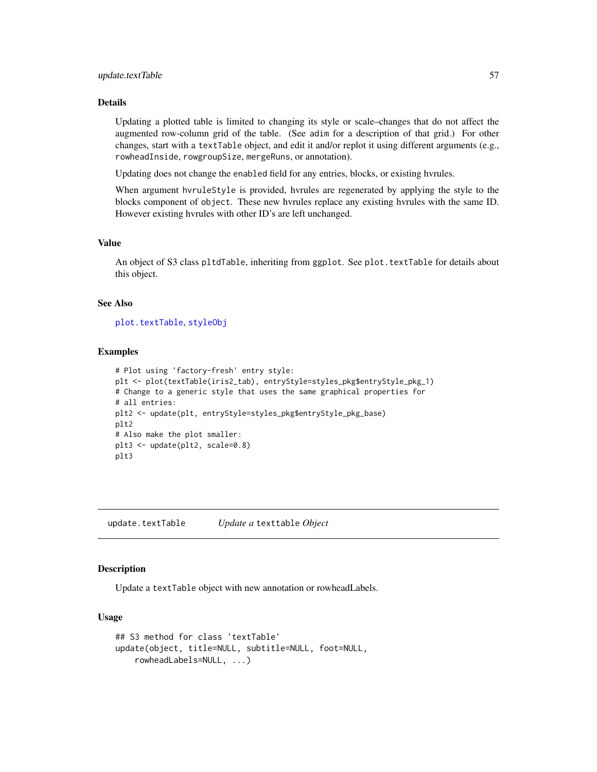#### <span id="page-56-0"></span>update.textTable 57

#### Details

Updating a plotted table is limited to changing its style or scale–changes that do not affect the augmented row-column grid of the table. (See adim for a description of that grid.) For other changes, start with a textTable object, and edit it and/or replot it using different arguments (e.g., rowheadInside, rowgroupSize, mergeRuns, or annotation).

Updating does not change the enabled field for any entries, blocks, or existing hvrules.

When argument hvruleStyle is provided, hvrules are regenerated by applying the style to the blocks component of object. These new hvrules replace any existing hvrules with the same ID. However existing hvrules with other ID's are left unchanged.

#### Value

An object of S3 class pltdTable, inheriting from ggplot. See plot.textTable for details about this object.

#### See Also

[plot.textTable](#page-26-1), [styleObj](#page-37-1)

#### Examples

```
# Plot using 'factory-fresh' entry style:
plt <- plot(textTable(iris2_tab), entryStyle=styles_pkg$entryStyle_pkg_1)
# Change to a generic style that uses the same graphical properties for
# all entries:
plt2 <- update(plt, entryStyle=styles_pkg$entryStyle_pkg_base)
plt2
# Also make the plot smaller:
plt3 <- update(plt2, scale=0.8)
plt3
```
update.textTable *Update a* texttable *Object*

#### **Description**

Update a textTable object with new annotation or rowheadLabels.

#### Usage

```
## S3 method for class 'textTable'
update(object, title=NULL, subtitle=NULL, foot=NULL,
   rowheadLabels=NULL, ...)
```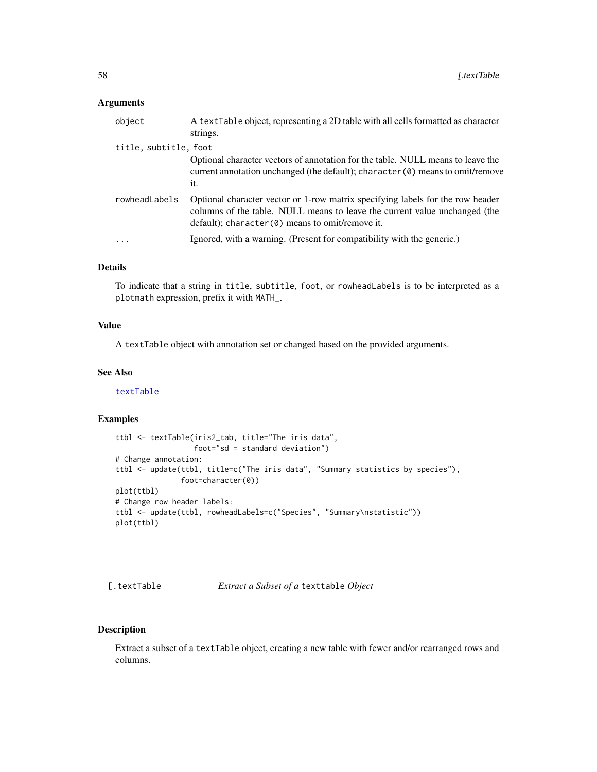#### <span id="page-57-0"></span>Arguments

| object                | A textTable object, representing a 2D table with all cells formatted as character<br>strings.                                                                                                                               |
|-----------------------|-----------------------------------------------------------------------------------------------------------------------------------------------------------------------------------------------------------------------------|
| title, subtitle, foot |                                                                                                                                                                                                                             |
|                       | Optional character vectors of annotation for the table. NULL means to leave the<br>current annotation unchanged (the default); character $(\theta)$ means to omit/remove<br>it.                                             |
| rowheadLabels         | Optional character vector or 1-row matrix specifying labels for the row header<br>columns of the table. NULL means to leave the current value unchanged (the<br>$default)$ ; character( $\theta$ ) means to omit/remove it. |
| $\cdot$               | Ignored, with a warning. (Present for compatibility with the generic.)                                                                                                                                                      |
|                       |                                                                                                                                                                                                                             |

#### Details

To indicate that a string in title, subtitle, foot, or rowheadLabels is to be interpreted as a plotmath expression, prefix it with MATH\_.

#### Value

A textTable object with annotation set or changed based on the provided arguments.

#### See Also

[textTable](#page-44-1)

#### Examples

```
ttbl <- textTable(iris2_tab, title="The iris data",
                  foot="sd = standard deviation")
# Change annotation:
ttbl <- update(ttbl, title=c("The iris data", "Summary statistics by species"),
               foot=character(0))
plot(ttbl)
# Change row header labels:
ttbl <- update(ttbl, rowheadLabels=c("Species", "Summary\nstatistic"))
plot(ttbl)
```

```
[.textTable Extract a Subset of a texttable Object
```
#### Description

Extract a subset of a textTable object, creating a new table with fewer and/or rearranged rows and columns.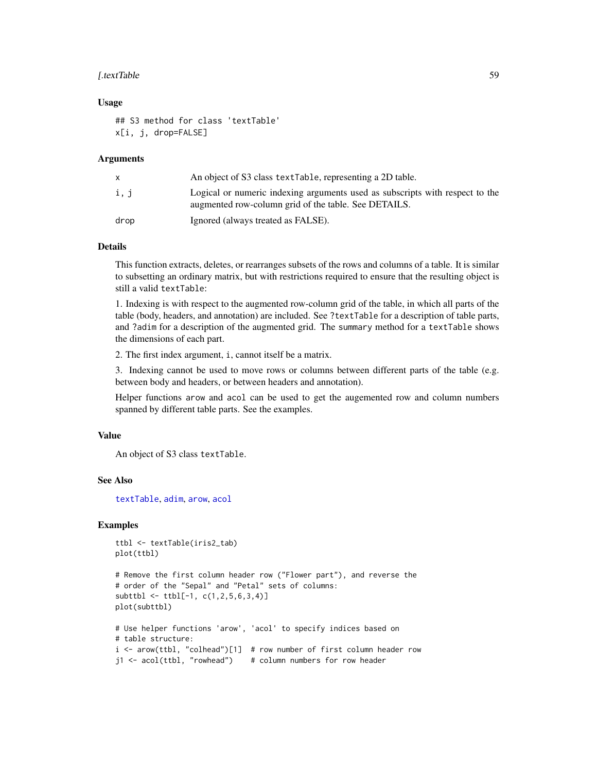#### <span id="page-58-0"></span>[.textTable 59] **[.free Section 2014 for Section** 39]

#### Usage

## S3 method for class 'textTable' x[i, j, drop=FALSE]

#### Arguments

|      | An object of S3 class text Table, representing a 2D table.                                                                           |
|------|--------------------------------------------------------------------------------------------------------------------------------------|
| i, j | Logical or numeric indexing arguments used as subscripts with respect to the<br>augmented row-column grid of the table. See DETAILS. |
| drop | Ignored (always treated as FALSE).                                                                                                   |

#### Details

This function extracts, deletes, or rearranges subsets of the rows and columns of a table. It is similar to subsetting an ordinary matrix, but with restrictions required to ensure that the resulting object is still a valid textTable:

1. Indexing is with respect to the augmented row-column grid of the table, in which all parts of the table (body, headers, and annotation) are included. See ?textTable for a description of table parts, and ?adim for a description of the augmented grid. The summary method for a textTable shows the dimensions of each part.

2. The first index argument, i, cannot itself be a matrix.

3. Indexing cannot be used to move rows or columns between different parts of the table (e.g. between body and headers, or between headers and annotation).

Helper functions arow and acol can be used to get the augemented row and column numbers spanned by different table parts. See the examples.

#### Value

An object of S3 class textTable.

#### See Also

[textTable](#page-44-1), [adim](#page-8-1), [arow](#page-9-1), [acol](#page-2-1)

```
ttbl <- textTable(iris2_tab)
plot(ttbl)
```

```
# Remove the first column header row ("Flower part"), and reverse the
# order of the "Sepal" and "Petal" sets of columns:
subttbl <- ttbl[-1, c(1,2,5,6,3,4)]
plot(subttbl)
# Use helper functions 'arow', 'acol' to specify indices based on
```

```
# table structure:
i <- arow(ttbl, "colhead")[1] # row number of first column header row
j1 <- acol(ttbl, "rowhead") # column numbers for row header
```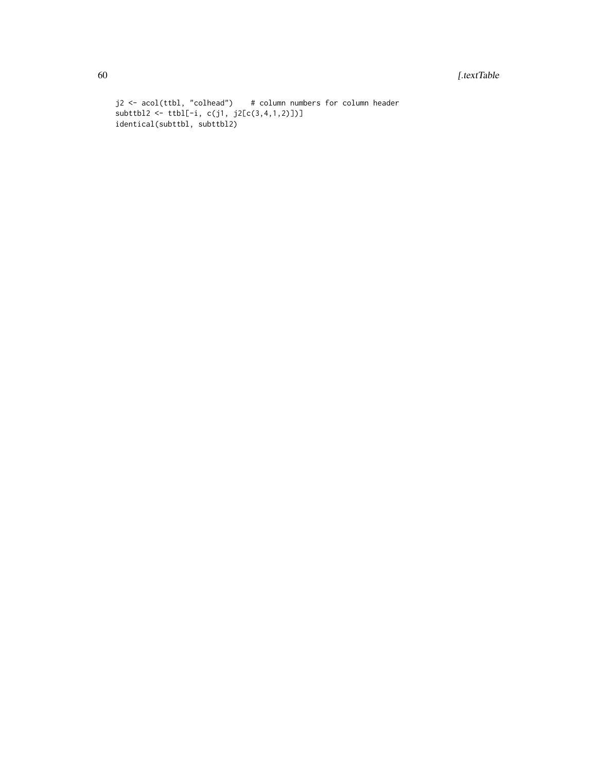```
j2 <- acol(ttbl, "colhead") # column numbers for column header
subttbl2 <- ttbl[-i, c(j1, j2[c(3,4,1,2)])]
identical(subttbl, subttbl2)
```